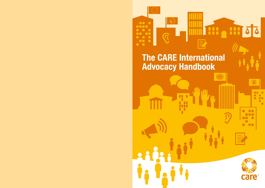# **The CARE International Advocacy Handbook**

m ma

ا ا

2

n

П m m П П



**DE** 

п п

п

m

п

 $\mathbf{H} \mathbf{d}$ 

m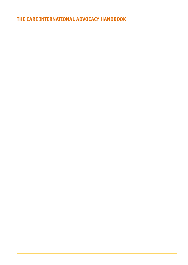**THE CARE INTERNATIONAL ADVOCACY HANDBOOK**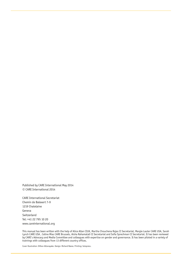Published by CARE International May 2014 © CARE International 2014

CARE International Secretariat Chemin de Balexert 7-9 1219 Chatelaine Geneva Switzerland Tel: +41 22 795 10 20 www.careinternational.org

This manual has been written with the help of Alice Allan CIUK, Martha Chouchena Rojas CI Secretariat, Margie Lauter CARE USA, Sarah Lynch CARE USA , Celine Mias CARE Brussels, Aisha Rahamatali CI Secretariat and Sofia Sprechman CI Secretariat. It has been reviewed by CARE's Advocacy and Media Committee and colleagues with expertise on gender and governance. It has been piloted in a variety of trainings with colleagues from 13 different country offices.

Cover illustration: Dilhan Attanayake. Design: Richard Reeve. Printing: Solopress.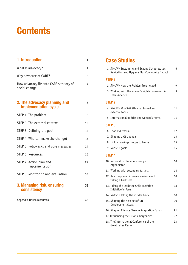# **Contents**

| 1. Introduction<br>1                                          |                                                             |    |  |
|---------------------------------------------------------------|-------------------------------------------------------------|----|--|
| What is advocacy?                                             |                                                             |    |  |
| Why advocate at CARE?<br>$\overline{c}$                       |                                                             |    |  |
| How advocacy fits into CARE's theory of<br>4<br>social change |                                                             |    |  |
|                                                               | 2. The advocacy planning and<br><b>implementation cycle</b> | 6  |  |
|                                                               | STEP 1 The problem                                          | 8  |  |
|                                                               | STEP 2 The external context                                 | 10 |  |
|                                                               | STEP 3 Defining the goal                                    | 12 |  |
|                                                               | STEP 4 Who can make the change?                             | 16 |  |
|                                                               | STEP 5 Policy asks and core messages                        | 24 |  |
|                                                               | STEP 6 Resources                                            | 26 |  |
|                                                               | STEP 7 Action plan and<br>implementation                    | 29 |  |
|                                                               | STEP 8 Monitoring and evaluation                            | 35 |  |
| 3. Managing risk, ensuring<br>39<br>consistency               |                                                             |    |  |

Appendix: Online resources 43

# **Case Studies**

| 1. SWASH+ Sustaining and Scaling School Water,<br>Sanitation and Hygiene Plus Community Impact | 6  |
|------------------------------------------------------------------------------------------------|----|
| <b>STEP 1</b>                                                                                  |    |
| 2. SWASH + How the Problem Tree helped                                                         | 9  |
| 3. Working with the women's rights movement in<br>Latin America                                | 9  |
| <b>STEP 2</b>                                                                                  |    |
| 4. SWASH+ Why SWASH+ maintained an<br>external focus                                           | 11 |
| 5. International politics and women's rights                                                   | 11 |
| <b>STEP 3</b>                                                                                  |    |
| 6. Food aid reform                                                                             | 12 |
| 7. Shaping a G8 agenda                                                                         | 15 |
| 8. Linking savings groups to banks                                                             | 15 |
| 9. SWASH+ goals                                                                                | 15 |
| <b>STEP 4</b>                                                                                  |    |
| 10. National to Global Advocacy in<br>Afghanistan                                              | 18 |
| 11. Working with secondary targets                                                             | 18 |
| 12. Advocacy in an insecure environment -<br>taking a back seat                                | 18 |
| 13. Taking the lead: the Child Nutrition<br>Initiative in Peru                                 | 18 |
| 14. SWASH+ Taking the insider track                                                            | 18 |
| 15. Shaping the next set of UN<br>Development Goals                                            | 20 |
| 16. Shaping Climate Change Adaptation Funds                                                    | 21 |
| 17. Influencing the EU on emergencies                                                          | 22 |
| 18. The International Conference of the<br><b>Great Lakes Region</b>                           | 23 |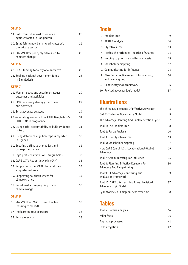# **STEP 5**

| 19. CARE counts the cost of violence<br>against women in Bangladesh   | 25 |
|-----------------------------------------------------------------------|----|
| 20. Establishing new banking principles with<br>the private sector    | 26 |
| 21. SWASH+ How policy objectives led to<br>concrete change            | 26 |
| <b>STEP 6</b>                                                         |    |
| 22. GLAI: funding for a regional initiative                           | 28 |
| 23. Seeking national government funds<br>in Bangladesh                | 28 |
| <b>STEP 7</b>                                                         |    |
| 24. Women, peace and security strategy:<br>outcomes and activities    | 29 |
| 25. SRMH advocacy strategy: outcomes<br>and activities                | 29 |
| 26. Syria advocacy strategy                                           | 29 |
| 27. Generating evidence from CARE Bangladesh's<br>SHOUHARDO programme | 31 |
| 28. Using social accountability to build evidence<br>in Peru          | 31 |
| 29. Using data to change how rape is reported<br>in Uganda            | 32 |
| 30. Securing a climate change loss and<br>damage mechanism            | 32 |
| 31. High profile visits to CARE programmes                            | 33 |
| 32. CARE USA's Action Networks (CAN)                                  | 33 |
| 33. Supporting other CAREs to build their<br>supporter network        | 33 |
| 34. Supporting southern voices for<br>climate change                  | 34 |
| 35. Social media: campaigning to end<br>child marriage                | 35 |
| <b>STEP 8</b>                                                         |    |
| 36. SWASH+ How SWASH+ used flexible<br>learning to aid M&E            | 38 |
| 37. The learning tour scorecard                                       | 38 |
| 38. Peru scorecards                                                   | 38 |

# **Tools**

| 1. Problem Tree                                                | 9  |
|----------------------------------------------------------------|----|
| 2. PESTLE analysis                                             | 10 |
| 3. Objectives Tree                                             | 13 |
| 4. Testing the rationale: Theories of Change                   | 14 |
| 5. Helping to prioritise $-$ criteria analysis                 | 15 |
| 6. Stakeholder mapping                                         | 17 |
| 7. Communicating for influence                                 | 24 |
| 8. Planning effective research for advocacy<br>and campaigning | 30 |
| 9. CI advocacy M&E framework                                   | 36 |
| 10. Revised advocacy logic model                               | 37 |

# **Illustrations**

| The Three Key Elements Of Effective Advocacy                               | 3  |
|----------------------------------------------------------------------------|----|
| <b>CARE's Inclusive Governance Model</b>                                   | 5  |
| The Advocacy Planning And Implementation Cycle                             | 7  |
| Tool 1: The Problem Tree                                                   | 8  |
| Tool 2: Pestle Analysis                                                    | 10 |
| Tool 3: The Objectives Tree                                                | 13 |
| Tool 6: Stakeholder Mapping                                                | 17 |
| How CARE Can Link Its Local-National-Global<br>Advocacy                    | 19 |
| Tool 7: Communicating For Influence                                        | 24 |
| Tool 8: Planning Effective Research For<br><b>Advocacy And Campaigning</b> | 30 |
| Tool 9: CI Advocacy Monitoring And<br><b>Evaluation Framework</b>          | 39 |
| Tool 10: CARE USA Learning Tours: Revisited<br>Advocacy Logic Model        | 37 |
| Lynn Woolsey's Champion-ness over time                                     | 38 |

# **Tables**

| Tool 5: Criteria analysis | 14 |
|---------------------------|----|
| Killer facts              | 25 |
| Approval processes        | 41 |
| Risk mitigation           | 42 |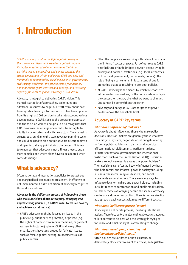# **1. Introduction**

*"CARE's primary asset in the fight against poverty is the knowledge, ideas, and experience gained through its implementation of coherent programs that draw on rights-based perspectives and gender analysis; the strong connections within and across CARE and poor and marginalised communities, social movements, governments, civil society, academia, the private sector, foundations, and individuals (both activists and donors), and its strong capacity for 'local-to-global' advocacy." CARE 2020.*

Advocacy is integral to delivering CARE's vision. This manual is a toolkit of approaches, techniques and additional resources to help CARE staff think about how to integrate advocacy into their work. It has been updated from its original 2001 version to take into account various developments in CARE, such as the programme approach and the focus on women and girls. It also recognises that CARE now works in a range of contexts, from fragile to middle income states, and with new actors. The manual is structured around an eight-step advocacy planning cycle and could be used to plan an initiative from start to finish or dipped into at any point during the process. It is key to remember that advocacy is not a linear process but a more complex one where plans have to be adapted when contexts change.

# **What is advocacy?**

Often national and international policies to protect poor and marginalised communities are absent, ineffective or not implemented. CARE's definition of advocacy recognises this and is as follows:

## **Advocacy is the** *deliberate* **process of** *influencing* **those who make** *decisions* **about** *developing, changing and implementing policies* **[in CARE's case: to reduce poverty and achieve social justice].**

• CARE's advocacy might be focused on issues in the public (e.g. public service provision) or private (e.g. the rights of domestic workers in the home, or garment workers in factories) sphere. CARE and many other organisations have long argued for 'private' issues, such as female genital cutting, to become issues of public concern.

- Often the people we are working with interact mostly in the 'informal' sector or space. Part of our role as CARE is to facilitate or build bridges between people living in poverty and 'formal' institutions (e.g. local authorities and national government, parliaments, donors). The role of being a convener is, in fact, a central one for promoting dialogue resulting in pro-poor policies.
- At CARE, advocacy is the means by which we choose to influence decision-makers, or the tactics, while policy is the content, or the ask, the 'what we want to change'. One cannot be done without the other.
- Advocacy and policy at CARE are targeted at powerholders above the household level.

## **Advocacy at CARE: key terms**

#### *What does 'influencing' look like?*

Advocacy is about influencing those who make policy decisions. Decision-makers are generally those who have the ability to legislate, negotiate or set budgets relating to formal public policies (e.g. district and municipal officers, national civil servants, parliamentarians, ministers in national governments and international institutions such as the United Nations (UN)). Decisionmakers are not necessarily always the 'power holders.' Their decisions can often be heavily influenced by those who hold formal and informal power in society including business, the media, religious leaders, and social movements amongst others. There are many ways to influence decision-makers and power holders, including outsider tactics of confrontation and public mobilisation, to insider tactics of lobbying behind the scenes. Advocacy can be done alone or in coalition. There is no one size fits all approach; each context will require different tactics.

#### *What does 'deliberate process' mean?*

Advocacy is a deliberate process, involving intentional actions. Therefore, before implementing advocacy strategies, it is important to be clear who the strategy is trying to influence and which policy it is attempting to change.

#### *What does 'developing, changing and implementing policies' mean?*

Often policies are outdated or non-existent, or deliberately block what we want to achieve, so legislative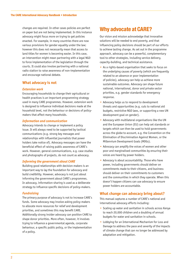changes are required. In other cases policies are perfect on paper but are not being implemented. In this instance advocacy might focus more on trying to get policies enacted. For example, in many countries there are now various provisions for gender equality under the law; however this does not necessarily mean that access to land titles for women is becoming easier. In this case, an intervention might mean partnering with a legal NGO to force implementation of the legislation through the courts. It could also involve partnering with a national radio station to raise awareness of non-implementation and encourage national debate.

## **What advocacy is not**

#### *Extension work*

Encouraging households to change their agricultural or health practices is an important programming strategy used in many CARE programmes. However, extension work is designed to influence individual decisions made at the household level, not the behaviour or decisions of policymakers that affect many households.

#### *Information and communication*

Advocacy intends to change or implement a policy issue. It will always need to be supported by tactical communications (e.g. strong key messages and relationships with influential journalists that power holders take notice of). Advocacy messages can have the beneficial effect of raising public awareness of CARE's work. However, general communications, e.g. case studies and photographs of projects, do not count as advocacy.

#### *Informing the government about CARE*

Building good relationships with decision-makers is an important way to lay the foundation for advocacy and build credibility. However, advocacy is not just about informing the government about CARE's programmes. In advocacy, information-sharing is used as a deliberate strategy to influence specific decisions of policy-makers.

#### *Fundraising*

The primary purpose of advocacy is not to increase CARE's funds. Some advocacy may involve asking policy-makers to allocate more resources for relief and development priorities, and sometimes this may benefit CARE. Additionally strong insider advocacy can position CARE to shape donor priorities. More often, however, it involves trying to influence a governmental agenda, corporate behaviour, a specific public policy, or the implementation of a policy.

# **Why advocate at CARE?**

Our vision and mission acknowledge that innovative solutions will be needed to end poverty, and that influencing policy decisions should be part of our efforts to achieve lasting change. As set out in the programme approach, advocacy can be a powerful, complementary tool to other strategies, including service delivery, capacity-building, and technical assistance.

- As a rights-based organisation that seeks to focus on the underlying causes of poverty (which are frequently related to an absence or poor implementation of policies), advocacy can help us achieve more sustainable outcomes. Advocacy can shape future national, international, donor and private sector priorities, e.g. gender standards for emergency response.
- Advocacy helps us to respond to development threats and opportunities (e.g. cuts to national aid budgets, restrictive NGO laws, or supporting a new UN development goal on gender).
- Advocacy with multilateral organisations like the UN and the European Union (EU) can help set standards or targets which can then be used to hold governments across the globe to account, e.g. the Convention on the Elimination of Discrimination Against Women, or the Millennium Development Goals (MDGs).
- Advocacy can amplify the voices of women and other poor and marginalised communities by ensuring their voices are heard by power holders.
- Advocacy is about accountability. Those who have power, including governments should deliver on commitments made to their citizens, and business should deliver on their commitments to customers and the communities in which they operate. When this doesn't happen citizens can use advocacy to ensure power holders are accountable.

#### **What change can advocacy bring about?**

This manual captures a number of CARE's national and international advocacy efforts including:

- Scaling up water and sanitation in schools across Kenya to reach 20,000 children and a doubling of annual budgets for water and sanitation in schools.
- Lobbying for an International Mechanism for Loss and Damage to address the pace and severity of the impacts of climate change that can no longer be addressed by adaptation and mitigation.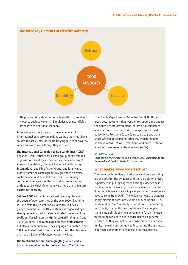for, when, who with, and how.



• Helping to bring about national legislation to combat violence against women in Bangladesh, by quantifying its cost to the national economy.

<span id="page-8-0"></span>• Policy influencing helps us to respond to

In recent years there have also been a number of international advocacy campaigns led by others that have  $\frac{1}{2}$  policy making policy making international Putting Policy making international Putting Putting Putting Putting Putting Putting Putting Putting Putting Putt sought to tackle some of the underlying causes of poverty, which are worth considering. They include:

#### **The International Campaign to Ban Landmines (ICBL)**

began in 1991. Initiated by a small group of like-minded organisations (first by Medico and Vietnam Veterans of America Foundation, then quickly joined by Handicap International and Mine Action Group, and later Human Rights Watch the campaign quickly grew into a diverse coalition across almost 100 countries. The campaign continued to ensure monitoring and implementation until 2010, by which time there were more than 150 state parties to the treaty.

**Jubilee 2000** was an international campaign to abolish the debts of poor countries by the year 2000. Emerging in 1997 from the UK Debt Crisis Network, it quickly gained momentum. The UK coalition was organised by a strong secretariat, which also facilitated the loose global coalition. Focusing on the G8s in 1998 (Birmingham) and 1999 (Cologne,) the campaign mobilised faith activists but also a wider audience. The campaign culminated in the 1999 debt relief deal in Cologne, which saw the clearance of an extra \$27bn of developing country debt.

**The Treatment Action Campaign (TAC)**, which works toward universal access to treatment for HIV/AIDS, was

launched in Cape Town on December 10, 1998. It built a grassroots movement that went on to support and oppose the South African government, harass drug companies, educate the population, and challenge international policy. Once President Jacob Zuma came to power, the South African government ultimately transformed its policies toward HIV/AIDS treatment, and now 1.2 million South Africans are on anti-retrovirals (ARVs).

#### *EXTERNAL TOOL*

*These examples are adapted from Brendan Cox, ['Campaigning for](http://www.bond.org.uk/data/files/Campaigning_for_International_Justice_Brendan_Cox_May_2011.pdf)  [International Justice' 1991–2011](http://www.bond.org.uk/data/files/Campaigning_for_International_Justice_Brendan_Cox_May_2011.pdf), May 2011*

## **What makes advocacy effective?**

The three key ingredients of advocacy and policy-making are the politics, the evidence and the 'do-ability'. CARE's expertise is in pulling together a strong evidence base to underpin our advocacy. However evidence on its own does not achieve advocacy impacts (nor does the evidence have to come from CARE). The evidence needs to signpost policy-makers towards achievable policy solutions – i.e. be clear about the 'do-ability' of what CARE is advocating for. Finally, the political context is key. For example, there is no point lobbying a government for an increase in spending for a particular service near to a general election, as they will not be in a position to commit new funds; instead, consider how to incorporate the ask into a manifesto commitment of the main political parties.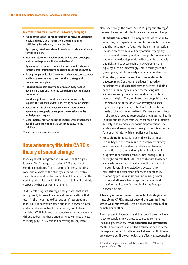#### <span id="page-9-0"></span>**Key conditions for a successful advocacy campaign**

- **Functioning venue(s) for adoption: the relevant legislative, legal, and regulatory institutions are functioning sufficiently for advocacy to be effective.**
- **Open policy window: external events or trends spur demand for the solution.**
- **Feasible solution: a feasible solution has been developed and shown to produce the intended benefits.**
- **Dynamic master plan: a pragmatic and flexible advocacy strategy and communications plan is ready for execution.**
- **Strong campaign leader(s): central advocates can assemble and lead the resources to execute the strategy and communications plan.**
- **Influential support coalition: allies can sway needed decision-makers and help the campaign leader to pursue the solution.**
- **Mobilised public: relevant public audiences actively support the solution and its underlying social principles.**
- **Powerful inside champions: decision-makers who can overcome the opposition support the solution and its underlying principles.**
- **Clear implementation path: the implementing institution has the commitment and the ability to execute the solution.**

*(From www.redstonestrategy.com)*

# **How advocacy fits into CARE's theory of social change**

Advocacy is well integrated in our CARE 2020 Program Strategy. The Strategy is based on CARE's wealth of experience gathered from 70 years of poverty-fighting work, our analysis of the strategies that drive positive social change, and our full commitment to addressing the most important factors inhibiting the fulfillment of rights – especially those of women and girls.

CARE's draft program strategy clearly states that at its root, poverty is caused by unequal power relations that result in the inequitable distribution of resources and opportunities between women and men, between powerholders and marginalized communities, and between countries. CARE believes that poverty cannot be overcome without addressing those underlying power imbalances. Advocacy plays a key role in addressing this injustice.

More specifically, the draft CARE 2020 program strategy<sup>1</sup> proposes three central roles for catalysing social change:

- **Humanitarian action**. In emergencies, we respond to save lives, with special attention to the needs of women and the most marginalized. Our humanitarian action includes preparedness and early action, emergency response and recovery, and encourages future resilience and equitable development. Action to reduce impacts and risks and to secure gains in development and equality must be increasingly CARE's focus given the growing magnitude, severity and number of disasters
- **Promoting innovative solutions for sustainable development.** Our programs trigger innovative solutions through essential service delivery, building capacities, building resilience for reducing risk, and empowering the most vulnerable, particularly women and girls. They are based on a deep, historical understanding of the drivers of poverty and social injustice in a particular context and tailored to the needs of the most marginalized. We have a special focus in the areas of sexual, reproductive and maternal health (SRMH) and freedom from violence; food and nutrition security; and women's economic empowerment. The evidence and learning from these programs is essential for our third role, which amplifies our impact.
- **Multiplying impact.** All our work seeks to impact in and beyond the communities in which we directly work. We use the evidence and learning from our humanitarian action and long-term development programs to influence broader social change. It is through this role that CARE can contribute to deeper and sustainable impact by documenting successful models, leveraging knowledge, advocating for replication and expansion of proven approaches, promoting pro-poor solutions, influencing power holders at all levels to change their policies and practices, and convening and brokering linkages between actors.

**Advocacy is one of the most important strategies for multiplying CARE's impact beyond the communities in which we directly work.** It is an essential strategy that complements others.

Also if power imbalances are at the root of poverty, then it is key to consider how advocacy can support more inclusive governance. **What does inclusive governance mean?** Governance is about the exercise of power in the management of public affairs. We believe that **if** citizens are empowered, **if** power holders are effective, accountable

<sup>1.</sup> The draft program strategy will be presented to the CI Board for approval in June 2014.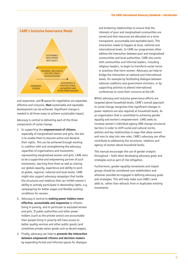

and responsive, and **if** spaces for negotiation are expanded, effective and inclusive, **then** sustainable and equitable development can be achieved. Significant change is needed in all three areas to achieve sustainable impact.

Advocacy is central to delivering each of the three components of social change.

- 1. In supporting the **empowerment of citizens**,
- especially of marginalised women and girls, the aim is to enable them to become active and demand their rights. This can be achieved through working in coalition with and strengthening the advocacy capacities of organisations and movements representing marginalised women and girls. CARE aims to be a supportive and empowering partner of such movements, learning from them as well as sharing our global capacity, experience and ability to work at global, regional, national and local levels. CARE might also support advocacy campaigns that tackle the structures and relations that can inhibit women's ability to actively participate in demanding rights, e.g. campaigning for better wages and flexible working conditions for women.
- 2. Advocacy is central to **making power holders more effective, accountable and responsive** to citizens living in poverty, and in particular to excluded women and girls. If public authorities and other power holders (such as the private sector) are accountable then people living in poverty will have access to better quality services and other public goods (and sometimes private sector goods such as decent wages).
- 3. Finally, advocacy can help to **promote the interaction between empowered citizens and decision-makers** by expanding formal and informal spaces for dialogue

served and that resources are allocated on a more transparent, accountable and equitable basis. This interaction needs to happen at local, national and international levels. In CARE our programmes often address the interaction between poor and marginalised communities and local authorities. CARE also works with communities and informal leaders, including religious leaders, to begin to transform social norms or practices that harm women. Advocacy can help to bridge the interaction at national and international levels, for example by facilitating dialogue between national coalitions and government ministers, or by supporting activists to attend international conferences to voice their concerns at the UN.

Whilst advocacy and inclusive governance efforts are targeted above household levels, CARE's overall approach to social change recognises that significant changes in power relations are also required at household levels. As an organisation that is committed to achieving gender equality and women's empowerment CARE seeks to increase women's individual agency AND change structural barriers in order to shift social and cultural norms, policies and key relationships in ways that allow women and men to step into new roles. CARE's advocacy can often contribute to addressing the structures, relations and agency of women above household levels.

This manual encourages the use of gender analysis throughout – both when developing advocacy goals and strategies and as part of risk mitigation.

Furthermore, gender equality movements and impact groups should be considered core stakeholders and wherever possible be engaged in defining advocacy goals and strategies. This will help make sure CARE's work adds to, rather than detracts from or duplicates existing movements.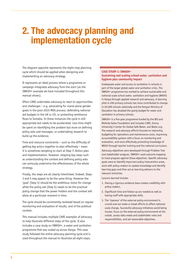# **2. The advocacy planning and implementation cycle**

The diagram opposite represents the eight-step planning cycle which should be applied when designing and implementing an advocacy strategy.

It represents an ideal process where a programme or campaign integrates advocacy from the start (as the SWASH+ example we have included throughout this manual shows).

Often CARE undertakes advocacy to react to opportunities and challenges – e.g. advocating for stand-alone gender goals in the post-2015 MDG process, defending national aid budgets in the UK or US, or protecting remittance flows to Somalia. In these instances the cycle is still appropriate but needs to be accelerated. Less time might be spent on identifying the problem but more on defining policy asks and messages, or undertaking research to build up the evidence.

Time and resource constraints – such as the difficulty of getting key actors together to plan effectively – mean it is sometimes tempting to start at Step 7: Action plan and implementation. However, skipping key steps such as understanding the context and defining policy asks can seriously undermine the effectiveness of the whole strategy.

Finally, the steps are all clearly interlinked. Indeed, Steps 3 and 5 may appear to be the same thing. However the 'goal' (Step 3) should be the ambitious vision for change while the policy ask (Step 5) needs to be the practical policy change that the power holders and the context will allow at a particular moment in time.

The cycle should be consistently reviewed based on regular monitoring and evaluation of results, and of the political context.

This manual includes multiple CARE examples of advocacy to help illustrate different steps of the cycle. It also includes a case study on SWASH+, a water and sanitation programme that was scaled up across Kenya. This case study followed the entire advocacy planning cycle and is used throughout the manual to illustrate all eight steps.

#### **CASE STUDY 1: SWASH+ Sustaining and scaling school water, sanitation and hygiene plus community impact**

Inadequate water and access to sanitation in schools is part of the larger global water and sanitation crisis. The SWASH+ programme has worked to achieve sustainable and national-scale school water, sanitation and hygiene (WASH) in Kenya through applied research and advocacy. A learning pilot in 200 primary schools has since contributed to change in 20,000 schools nationally and the Kenyan Ministry of Education has doubled the yearly budget for water and sanitation in primary schools.

SWASH+ is a five-year programme funded by the Bill and Melinda Gates Foundation and includes CARE, Emory University's Center for Global Safe Water, and Water.org. The research and advocacy efforts focused on improving budgeting for operations and maintenance costs, improving accountability systems with a focus on monitoring and evaluation, and more effectively promoting knowledge of WASH through teacher training and the national curriculum.

Advocacy objectives were developed through Problem Tree and stakeholder analyses. SWASH+ used outcome mapping to track progress against these objectives. Specific advocacy goals were to identify important policy intervention areas, work with policy-makers to update knowledge and identify learning gaps and then act as learning advisers to the relevant ministries.

Lessons learned include:

- 1. Having a rigorous evidence base creates credibility with policy-makers.
- 2. Significant time and follow-up are needed as well as having staff with appropriate skills.
- 3. The 'ripeness' of the external policy environment is crucial and can make or break efforts to affect nationalscale change. Successful advocacy initiatives avoid being insular, focus on the external policy environment at the outset, assess data needs and stakeholder roles and responsibilities, and set reasonable objectives.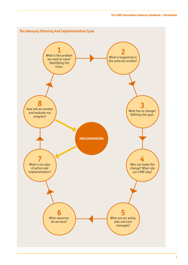<span id="page-12-0"></span>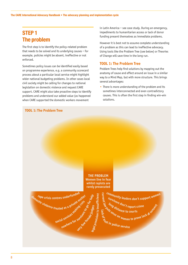# <span id="page-13-0"></span>**STEP 1 The problem**

The first step is to identify the policy-related problem that needs to be solved and its underlying causes – for example, policies might be absent, ineffective or not enforced.

Sometimes policy issues can be identified easily based on programme experience, e.g. a community scorecard process about a particular local service might highlight wider national budgeting problems. In other cases local civil society might be calling for changes to national legislation on domestic violence and request CARE support. CARE might also take proactive steps to identify problems and understand our added value (as happened when CARE supported the domestic workers movement

in Latin America – see case study. During an emergency, impediments to humanitarian access or lack of donor funding present themselves as immediate problems.

However it is best not to assume complete understanding of a problem as this can lead to ineffective advocacy. Using tools like the Problem Tree (see below) or Theories of Change will save time in the long run.

# **TOOL 1: The Problem Tree**

Problem Trees help find solutions by mapping out the anatomy of cause and effect around an issue in a similar way to a Mind Map, but with more structure. This brings several advantages:

• There is more understanding of the problem and its sometimes interconnected and even contradictory causes. This is often the first step in finding win-win solutions.

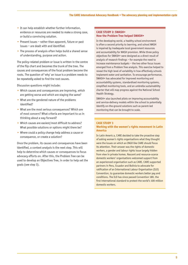- It can help establish whether further information, evidence or resources are needed to make a strong case, or build a convincing solution.
- Present issues rather than apparent, future or past issues – are dealt with and identified.
- The process of analysis often helps build a shared sense of understanding, purpose and action.

The policy-related problem or issue is written in the centre of the flip chart and becomes the trunk of the tree. The causes and consequences of the focal problem become the roots. The question of 'why' an issue is a problem needs to be repeatedly asked to find the root causes.

Discussion questions might include:

- Which causes and consequences are improving, which are getting worse and which are staying the same?
- What are the gendered nature of the problems identified?
- What are the most serious consequences? Which are of most concern? What criteria are important to us in thinking about a way forward?
- Which causes are easiest/most difficult to address? What possible solutions or options might there be?
- Where could a policy change help address a cause or consequence, or create a solution?

Once the problem, its causes and consequences have been identified, a context analysis is the next step. This will help to determine which causes or consequences to focus advocacy efforts on. After this, the Problem Tree can be used to develop an Objectives Tree, in order to help set the goals (see step 3).

#### **CASE STUDY 2: SWASH+ How the Problem Tree helped SWASH+**

In the developing world, a healthy school environment is often a second priority to learning, and school WASH is impaired by inadequate local government resources and accountability for WASH provision. While three policy objectives for SWASH+ were designed as a direct result of analysis of research findings – for example the need to increase maintenance budgets – the two other focus issues emerged from a Problem Tree analysis. This exercise helped to reveal the high level of variability in how effectively schools implement water and sanitation. To encourage performance, SWASH+ has advocated for improved monitoring and accountability systems, standardised monitoring systems, simplified monitoring tools, and an umbrella sustainability charter that will map progress against the National School Health Strategy.

SWASH+ also launched pilots on improving accountability and service-delivery models within the school to potentially identify on-the-ground solutions such as parent-led monitoring that can be brought to scale.

#### **CASE STUDY 3**

#### **Working with the women's rights movement in Latin America**

In Latin Americ a, CARE decided to take the proactive step of asking women's rights organisations what they thought were the issues on which an INGO like CARE should focus its attention. Their answer was the rights of domestic workers, a gender and labour rights issue largely hidden from view in private homes. Nascent and resource-scarce domestic workers' organisations welcomed support from an experienced organisation such as CARE. CARE supported partners in Peru, Ecuador and Bolivia to advocate for ratification of an International Labour Organisation (ILO) Convention, to guarantee domestic workers better pay and conditions. The ILO has since passed Convention 189, the first international standard to protect the world's 100 million domestic workers.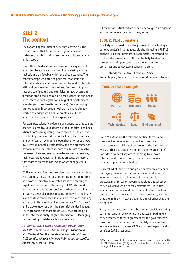# **STEP 2 The context**

The Oxford English Dictionary defines context as 'the circumstances that form the setting for an event, statement, or idea, and in terms of which it can be fully understood'.

It is difficult to decide which cause or consequence of a problem to advocate on without considering what is realistic and achievable within the circumstances. The context comprises both the political, economic and cultural landscape and the incentives for and relationships with and between decision-makers. Policy-making has to respond to crises and opportunities, to new actors and information, to the media, to citizens' concerns and needs or to international legislation and global development agendas (e.g. new treaties or targets). Policy-making cannot happen in a vacuum. Others may have already started to engage with similar problems and it is important to learn from their experience.

For example, scientific evidence demonstrates that climate change is a reality, yet there is a global political deadlock when it comes to agreeing how to tackle it. The context – including the financial cost of tackling the issue, rising energy prices, an economic model that prioritises growth over environmental sustainability, and the protection of national interests – all contribute to a failure to resolve the issue. However, ever more extreme weather events, technological advances and litigation could be factors that start to shift the context in which change could happen.

CARE's role in a given context also needs to be considered. For example, it may not be appropriate for CARE to front an advocacy initiative in a state that is threatening to expel CARE operations. The safety of CARE staff and partners must always be considered when undertaking any initiative. CARE also needs to consider how its role in any given context can impact upon our beneficiaries, and any advocacy initiatives should ensure that we 'Do No Harm' and that we fully consider the potential gender impacts. There are tools and staff across CARE that can help to undertake these analyses (see also Section 3: Managing risk, ensuring consistency, in this manual).

#### *INTERNAL TOOL: GENDER ANALYSIS/'DO NO HARM'*

*See CARE International's Gender Analysis [toolkit](http://gendertoolkit.care.org/Pages/core.aspx) and also the [Good Practices on Gender Analysis](http://gendertoolkit.care.org/Pages/core.aspx). Visit the CARE Conflict wikispace for more information on [conflict](http://conflict.care2share.wikispaces.net/Conflict+Sensitivity)  [sensitivity](http://conflict.care2share.wikispaces.net/Conflict+Sensitivity) or Do No Harm.*

All these contextual factors need to be weighed up against each other before deciding on any action.

# **TOOL 2: PESTLE analysis**

It is helpful to break down the process of undertaking a context analysis into manageable chunks using a PESTLE analysis. This tool promotes a systematic understanding of the wider environment. It can also help to identify new issues and opportunities on the horizon; to create scenarios; and to develop a coherent vision.

PESTLE stands for: Political, Economic, Social Technological, Legal and Environmental factors or trends.



**Political:** What are the relevant political factors and trends in the country (including the government, legislature, control/lack of control over the judiciary, as well as other political movements and pressure groups)? Consider also how they are responding to relevant international standards (e.g. treaty commitments, membership of regional bodies).

Research what ministers and prime ministers/presidents are saying. Review their recent speeches and monitor whether they have made relevant commitments in electoral manifestos or government plans and whether they have delivered on these commitments. It is also worth reviewing relevant ministry publications such as policy papers to see what targets have been set, whether they are in line with CARE's agenda and whether they are being met.

Party politics may also have a bearing on decision-making. It's important to review relevant debates in Parliament to see whether there is agreement for the government's position.<sup>2</sup> It's also important to identify which political actors are likely to oppose CARE's proposed agenda and to consider CARE's response.

<sup>2.</sup>NGOs often subscribe to parliamentary monitoring services, e.g. in the UK, CARE International (CIUK) uses De Havilland to monitor Parliament's coverage of development issues.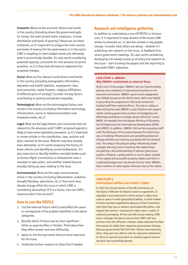**Economic:** What are the economic factors and trends in the country (including where the government gets its money, the main private sector employers, income distribution and levels of poverty)? Resources are often contested, so it's important to analyse the main sources and levels of revenue for the government or in the sector CARE is targeting to chart budget trends and ultimately what is economically feasible. It's also worth considering potential capacity constraints for civil servants of service providers, as it is they that will have to implement the proposed changes.

**Social:** What are the relevant social factors and trends in the country (including demographic information, education and health statistics, employment rates, land ownership, media freedom, religious affiliations of different parts of society)? Consider the key factors contributing to poverty and gender inequality.

**Technological:** What are the technological factors and trends in the country (including information technology, infrastructure, access to telecommunications and broadcast media, etc.)?

**Legal:** What are the legal factors and constraints that are relevant to the advocacy work? CARE's proposed agenda is likely to have some legislative precedent, so it's important to review articles in the constitution, laws, policies and plans relevant to the issue. Reforms may have already been attempted, so it's worth analysing the history of these reforms and identifying current bottlenecks. It's also important to identify whether oversight bodies such as Human Rights Commissions or Ombudsmen have a mandate to take action, and whether indeed they are actually taking up cases relating to the issue.

**Environmental:** What are the major environmental trends in the country (including deforestation, pollution, drought/flooding, agriculture, etc.)? How much does climate change affect the issue on which CARE is considering advocating? If it is a factor, how can CARE's response take it into account?

# **How to use the PESTLE**

- 1. List the external factors which could affect the cause or consequence of the problem identified in the above categories.
- 2. Identify which of these may be most significant either as opportunities or threats. Think about how they affect women and men differently.
- 3. Agree on the five key trends that are most important for the issue.
- 4. Undertake further research on these five if needed.

## **Research and intelligence gathering**

In addition to undertaking a one-off PESTLE or horizonscan, it is important to keep abreast of the issues CARE wishes to advocate on, in case the context or key people change. Consider what others are doing – whether it's publishing new research on the issue, or feedback from recent government meetings. It's also worth considering developing a bi-weekly round-up of policy and research on the issue – start tracking the players and the reporting to help build CARE's objectives.

#### **CASE STUDY 4: SWASH+ Why SWASH+ maintained an external focus**

At the start of the project, SWASH+ was too inward looking, placing more emphasis on internal learning than on the external environment. SWASH+ government engagement was initially focused at the district level, which was helpful in grounding the programme in the local context but isolated staff from national efforts. This led to a delay in determining how best SWASH+ could influence and support similar existing government practice and budgeting and effectively contribute to already vibrant efforts for school WASH, for example from the Kenyan Ministry of Education, the UK Department for International Development (DFID) and UNICEF. In addition, SWASH+ did not hire any policy staff until the third year of the project because the initial focus was on building infrastructure and completing behaviourchange activities and training associated with the research trial. This delay in focusing on policy-influencing meant a steeper learning curve in forming vital relationships and gaining a full understanding of relevant governance systems. However, a policy advisor is now in place, located in the capital and accessible to policy-makers and there is a dedicated budget and ring-fenced time for other SWASH+ team members to make regular advocacy trips to the capital.

#### **CASE STUDY 5 International politics and women's rights**

In 2012 the annual session of the UN Commission on the Status of Women 56 failed to reach an agreement. It signalled a worrying trend in which women's rights were used as pawns in wider geopolitical battles. A small number of states blocked negotiations because of their frustration with what they saw as western-dominated UN politics, and argued that women's reproductive rights were a matter of national sovereignty. At the next UN annual meeting CARE took a strategic decision to ensure that CARE staff and partners from the difficult or blocker states attended the New York session to lobby their respective governments directly. Because governments felt that their citizens were watching them, they were less able to vote for regressive statements. In 2013 an outcome document on violence against women and girls was successfully passed.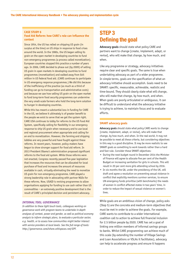#### **CASE STUDY 6**

#### **Food Aid Reform: how CARE's role can influence the context**

Since 1954, the US has relied on shipping US grain (in surplus at the time) on US ships in response to food crises around the world. In the 1980s, the US began selling its grain on the open market in developing countries to fund non-emergency programmes (a process called monetization). European countries stopped this practice a number of years ago. In 2006, CARE decided to phase out (by 2009) of selling US grain in open markets in developing countries to fund programmes (monetization) and walked away from \$45 million in US federal food aid. (CARE continues to participate in US emergency response programmes.) We did this because of the inefficiency of the practice (as much as a third of funding can go to transportation and administrative costs) and because we saw how selling US grain on the open market to fund long-term food security programmes can undermine the very small-scale farmers who hold the long-term solution to hunger in developing countries.

While this has meant a substantial loss in funding for CARE in the US, we believe it ultimately is of greater benefit to the people we exist to serve that we get the system right. CARE USA continues to lobby for reforms to the US Food Aid System, specifically calling for flexibility in our emergency response to ship US grain when necessary and to use local and regional procurement when appropriate and calling for an end to monetization. However, the farming and shipping lobbies are very powerful and have fought against these reforms. In recent years, however, policy-makers have begun to show stronger support for food aid reform. In 2013 President Obama's administration proposed significant reforms to the food aid system. While those reforms were not enacted, Congress recently passed five-year legislation that increases the resources that can be allocated for local purchase of food and increases the amount of resources available in cash, virtually eliminating the need to monetize US grain for non-emergency programme. CARE played a strong leadership role in advocating with partner NGOs for these reforms. Now, USAID is revising programmes to allow organisations applying for funding to use cash rather than US commodities – an extremely positive development that is the result of CARE's principled decision and persistent advocacy.

#### *INTERNAL TOOL: GOVERNANCE*

*In addition to these light touch tools, colleagues working on governance work with program teams to undertake in-depth analyses of context, power and gender, as well as political economy analysis to inform strategic plans, to evaluate a particular sector, e.g. health, or to assess how communities might better interact with service providers at local levels. See the full range of tools: http://governance.care2share.wikispaces.net/GPF.*

# **STEP 3 Defining the goal**

**Advocacy goals** should state what policy CARE and partners want to change [create, implement, adapt, or revise], who will make that change, by how much, and when.

Like any programme or strategy, advocacy initiatives require clear and specific goals. The same is true when undertaking advocacy as part of a wider programme. In simple terms, goals are the specification of what an advocacy initiative should accomplish. Goals need to be SMART: specific, measurable, achievable, realistic and time-bound. They should clearly state what will change, who will make that change, by how much, and when. When goals are poorly articulated or ambiguous, it can be difficult to understand what the advocacy initiative is trying to achieve, to maintain focus and to evaluate efforts.

#### **SMART advocacy goals**

**Advocacy goals** should state what policy CARE wants to change [create, implement, adapt, or revise], who will make that change, by how much, and when. In the real world, it may not be possible to meet all these criteria, but considering objectives in this way is a good discipline. It may be more realistic to see SMART goals as something to work towards rather than a hard and fast rule. Consider these SMART objectives:

- During the next budget round in December 2014 the Minister of Finance will agree to allocate five per cent of the Health Budget on increasing sanitation for girls in schools. This will result in 20 per cent more girls attending school by 2016.
- In six months the G8, under the presidency of the UK, will draft and agree a resolution on preventing sexual violence in conflict that explicitly mentions survivor services, to ensure UN emergency funds prioritise (with benchmarks) the needs of women in conflict affected states in two years' time, in order to reduce the impact of sexual violence on women's lives.

While goals are an ambitious vision of change, policy asks (Step 5) are the concrete and medium-term objectives that must be met in order to achieve the goals. For example, CARE wants to contribute to a wider international coalition call to action to achieve full financial inclusion for 2.5 billion people by 2020. CARE has set a goal of linking one million members of informal savings groups to banks. Whilst CARE programming can achieve much of this scale (by extending the number of Village Savings and Loan Associations or VSLAs it facilitates), advocacy can help to accelerate progress and ensure it happens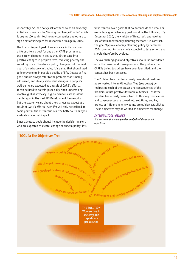<span id="page-18-0"></span>responsibly. So, the policy ask or the 'how' is an advocacy initiative, known as the 'Linking for Change Charter' which is urging 100 banks, technology companies and others to sign a set of principles for responsible linkage by 2015.

The final or **impact goal** of an advocacy initiative is no different from a goal for any other CARE programme. Ultimately, changes in policy should translate into positive changes in people's lives, reducing poverty and social injustice. Therefore a policy change is not the final goal of an advocacy initiative; it is a step that should lead to improvements in people's quality of life. Impact or final goals should always refer to the problem that is being addressed, and clearly state what changes in people's well-being are expected as a result of CARE's efforts. It can be hard to do this (especially when undertaking reactive global advocacy, e.g. to achieve a stand-alone gender goal in the next UN Development framework) but the clearer we are about the changes we expect as a result of CARE's efforts (even if it will only be realised at some point in the distant future), the better our ability to evaluate our actual impact.

Since advocacy goals should include the decision-makers who are expected to create, change or enact a policy, it is important to avoid goals that do not include the who. For example, a good advocacy goal would be the following: 'By December 2020, the Ministry of Health will approve the use of permanent family planning methods.' In contrast, the goal 'Approve a family planning policy by December 2004' does not include who is expected to take action, and should therefore be avoided.

The overarching goal and objectives should be considered once the causes and consequences of the problem that CARE is trying to address have been identified, and the context has been assessed.

The Problem Tree that has already been developed can be converted into an Objectives Tree (see below) by rephrasing each of the causes and consequences of the problem(s) into positive desirable outcomes – as if the problem had already been solved. In this way, root causes and consequences are turned into solutions, and key project or influencing entry points are quickly established. These objectives may be worded as objectives for change.

#### *INTERNAL TOOL: GENDER*

*It's worth considering a [gender analysis](http://gendertoolkit.care.org/Pages/core.aspx) of the selected objectives.*

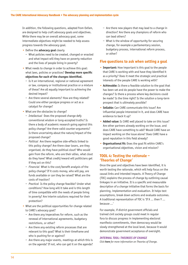In addition, the following questions, adapted from Oxfam, are designed to help craft advocacy goals and objectives. While there may be an overall advocacy goal, some intermediate objectives might be needed to help assess progress towards the advocacy goal.

- Define the **advocacy goal** clearly
- What policies need to be created, changed or enacted and what impact will they have on poverty reduction and the lives of people living in poverty?
- What needs to change in order to achieve this goal: what laws, policies or practices? **Develop more specific objectives for each of the changes identified.**
	- Is it an international, regional or national agreement or law, company or institutional practice or a mixture of these? Are all equally important to achieving the desired impact?
	- Are there several elements? How are they related? Could one either paralyse progress or act as a catalyst for change?
- What are the obstacles to change?
	- *Intellectual* Does the proposed change defy conventional wisdom or long-accepted truths? Is there a body of academic research going against this policy change? Are there valid counter-arguments? Is there uncertainty about the nature/impact of the proposed change?
	- *Political* Are there negative side-effects linked to this policy change? Are there clear losers, are they organised, do they have political clout? Who would gain from the reform, who are their allies, what clout do they have? What credit/reward will politicians get if they act on this?
	- *Financial* What is the cost/benefit analysis of the policy change? If it costs money, who will pay, are funds available or can they be raised? What are the costs of inaction?
	- *Practical* Is the policy change feasible? Under what conditions? How long will it take and is this length of time compatible with the needs of people living in poverty? Are interim solutions required for their protection?
- What are the political opportunities for change related to CARE's advocacy goal?
	- Are there any imperatives for reform, such as the renewal of international agreements, budgetary restrictions, or other?
	- Are there any existing reform processes that are relevant to this goal? What is their timeframe and who is pushing for or against?
	- Are there any major events, meetings at which this is on the agenda? If not, who can get it on the agenda?
- Are there new players that may lead to a change in direction? Are there any champions of reform who can lead others?
- What is the window of opportunity for securing change, for example a parliamentary session, budgetary process, international reform process, or other?

## **Five questions to ask when setting a goal**

- **Important:** How important is this goal to the people that CARE is working with and have they identified it as a priority? Does it meet the strategic and practical interests of the people CARE is working with?
- **Achievable:** Is there a feasible solution to the goal that has been set and do people have the power to make the changes? Is there a process where key decisions could be made? Is the time right? Is the solution a long-term prospect that is ultimately possible?
- **Sellable:** Can CARE communicate this issue? Are influential people interested in it, and does CARE have evidence to back it up?
- **Added value:** Is CARE well placed to take on this issue? Are other partners already working on the issue, and does CARE have something to add? Would CARE have an impact working on the issue alone? Does CARE have a good reputation in this field already?
- **Organisational fit:** Does the goal fit within CARE's organisational objectives, vision and mission?

# **TOOL 4: Testing the rationale – 'Theories of Change'**

Once the goal and objectives have been identified, it is worth testing the rationale, which will help focus on the causal links and intended impacts. A Theory of Change (TOC) explains the process of change by outlining causal linkages in an initiative. It is a specific and measurable description of a change initiative that forms the basis for planning, implementation and evaluation. It helps test assumptions, break down actions and evaluate outcomes. A traditional representation of TOC is 'If X … then Y … because …'

For example, if district government officials and trained civil society groups could meet in regular fora to discuss progress in implementing electoral manifesto commitments, then democracy would be slowly strengthened at the local level, because it would demonstrate government acceptance of oversight.

#### *INTERNAL TOOL: THEORIES OF CHANGE*

*Click [here](http://conflict.care2share.wikispaces.net/Theories+of+Change) for more information on Theories of Change.*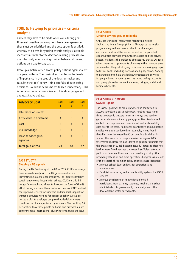# **TOOL 5: Helping to prioritise – criteria analysis**

Choices may have to be made when considering goals. If several possible policy options have been generated, they must be prioritised and the best option identified. One way to do this is by using criteria analysis, a simple mechanism similar to the decision-making processes we use intuitively when making choices between different options on a day-to-day basis.

Draw up a matrix which scores policy options against a list of agreed criteria. Then weight each criterion for levels of importance in the eyes of the decision-maker and calculate the 'top' policy. Think carefully about scoring decisions. Could the scores be evidenced if necessary? This is not about numbers or science – it is about judgement and qualitative debate.

| <b>Advocacy Goal</b>            | Goal<br>1 | Goal<br>$\overline{2}$ | Goal<br>3 |
|---------------------------------|-----------|------------------------|-----------|
| Likelihood of success           | 5         | 3                      | 3         |
| Achievable in timeframe         | 4         | 3                      | 4         |
| Cost                            | 5         | 4                      | 4         |
| Our knowledge                   | 5         | 4                      | 3         |
| Links to wider govt.<br>agendas | 4         | 4                      | 3         |
| Total (out of 25)               | 23        | 18                     | 17        |

#### **CASE STUDY 7 Shaping a G8 agenda**

During the UK Presidency of the G8 in 2013, CIUK's advocacy team worked closely with the UK government on its Preventing Sexual Violence Initiative. The initiative initially sought only to end impunity for crimes. CIUK felt this did not go far enough and aimed to broaden the focus of the G8 effort during a six-month consultation process. CARE lobbied for improved services for survivors and financial support for women's activists working for gender equality. CARE also hosted a visit to a refugee camp so that decision-makers could see the challenges faced by survivors. The resulting G8 Declaration took these points on board and provides a more comprehensive international blueprint for tackling the issue.

## **CASE STUDY 8 Linking savings groups to banks**

CARE has worked for many years facilitating Village Savings and Loans Groups (VSLAs). Through our extensive programming we have learned about the challenges and opportunities of the model, as well as the potential opportunities provided by new technologies and the private sector. To address the challenge of insecurity that VSLAs face when they save large amounts of money in the community we set ourselves the goal of trying to link mature savings groups to formal banks including Barclays and Equity banks. Working in partnership we have trialled new products and services for people living in poverty, such as group savings accounts and group pin codes on mobile phones, bringing social and business benefits.

## **CASE STUDY 9: SWASH+ SWASH+ goals**

The SWASH goal was to scale up water and sanitation in 20,000 schools in a sustainable way. Applied research in three geographic clusters in western Kenya was used to gather evidence and identify policy priorities. Randomised control trials captured outcome, impact and sustainability data over three years. Additional quantitative and qualitative studies were also conducted: for example, it was found that diarrhoea decreased by 60 per cent in all children in schools that received a comprehensive package of WASH interventions. Research also identified gaps: for example that the prevalence of E. coli bacteria actually increased after new latrines were fitted because there was insufficient attention paid to latrine cleanliness and hand washing – things that need daily attention and more operations budgets. As a result of the research three major policy priorities were identified:

- Improve school-level budgets for operations and maintenance
- Establish monitoring and accountability systems for WASH services
- Improve the sharing of knowledge among all participants from parents, students, teachers and school administrators to government, community, and other development-sector participants.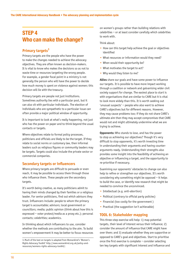# **STEP 4 Who can make the change?**

# **Primary targets3**

Primary targets are the people who have the power to make the changes needed to achieve the advocacy objectives. They are often known as decision-makers. It is vital to know who makes the decisions so as not to waste time or resources targeting the wrong people. For example, a gender focal point in a ministry is not generally the person who will have the power to decide how much money is spent on violence against women; this decision will lie with the treasury.

Primary targets are people not just institutions. Sometimes authority lies with a particular post, but it can also sit with particular individuals. The election of individuals who are sympathetic to a particular issue can often provide a major political window of opportunity.

It is important to look at what's really happening, not just who has the power on paper and to think beyond the usual contacts or targets.

Where objectives relate to formal policy processes, politicians and officials are likely to be the target. If they relate to social norms or customary law, then informal leaders such as religious figures or community leaders may be targets. Targets could also include the private sector or commercial companies.

# **Secondary targets or influencers**

Where primary targets are difficult to persuade or even reach, it may be possible to access them through those who influence them. These people are the secondary targets.

It's worth being creative, as many politicians admit to having their minds changed by their families or a religious leader. For senior politicians, find out which advisors they trust. Influencers include: people to whom the primary target is accountable; advisors; local government or councillors; media; public opinion (think about how this is expressed – voter protest/media as a proxy etc.); personal contacts; celebrities; academics.

In thinking about which influencers to use, consider whether the methods are contributing to the aim. To build women's empowerment it may be better to focus resources

3.Much of the text on targets is adapted from Womankind's 'Women's Rights Advocacy Toolkit' http://www.womankind.org.uk/policy-andresources/womens-rights-advocacy-toolkit/.

on women's groups rather than building relations with celebrities – or at least consider carefully which celebrities to work with.

Think about:

- How can this target help achieve the goal or objectives identified
- What resources or information would they need?
- When would their opportunity be?
- What motivates the target to act?
- Why would they listen to me?

**Allies** share our goals and have some power to influence our targets. It is possible to have more impact working through a coalition or network and galvanising wider civil society support for change. The easiest place to start is with organisations that are similar to CARE but it is vital to look more widely than this. It is worth seeking out 'unusual suspects' – people who also want to achieve CARE's objectives but for different reasons. However, they may cause problems too; if they do not share CARE's ultimate aim then they may accept compromises that CARE would not and might ultimately undermine what we are trying to achieve.

**Opponents:** Who stands to lose, and has the power to stop us achieving our objectives? Though it's very difficult to stop opponents, it's worth investing time in understanding their arguments and having counterarguments ready. Understanding their strengths also provides some insight into the feasibility of achieving an objective or influencing a target, and the opportunity to re-prioritise if necessary.

Examining our opponents' obstacles to change can also help to refine or strengthen our objectives. It's worth considering why something might be opposed – it helps to build the case, or identify new research that might be needed to convince the unconvinced.

- Intellectual (e.g. anti-abortion)
- Political (contrary to official party policies)
- Financial (too costly for the government )
- Practical (the suggestion isn't achievable)

# **TOOL 6: Stakeholder mapping**

This three-step exercise will help: 1) map potential targets, their level of interest versus their influence; 2) consider the amount of influence that CARE might have over them; and 3) evaluate whether they are supportive or opposed to CARE's goal and objectives. Start to prioritise once the first exercise is complete – consider selecting ten key targets with significant interest and influence and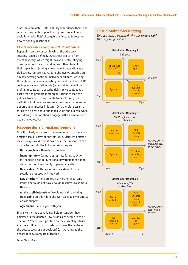<span id="page-22-0"></span>assess in more detail CARE's ability to influence them, and whether they might support or oppose. This will help to avoid long 'wish lists' of targets and instead to focus on how to actually reach them.

#### *CARE's role when engaging with stakeholders*

Depending on the context in which the advocacy strategy is being defined, CARE's role can vary from direct advocacy, which might involve directly lobbying government officials, to working with them to build their capacity, or joining a government delegation as a civil society representative. It might involve entering an already existing coalition, network or alliance, working through partners, or supporting national coalitions. CARE could play a more visible role (which might benefit our profile, or could carry security risks) or we could take a back seat and promote local organisations to lead the public advocacy. This can create trade-offs (e.g. less visibility might mean weaker relationships with potential donors and ministries in future). It is therefore essential for us to be clear about our added value and our role when considering 'who' we should engage with to achieve our goals and objectives.

## **Mapping decision-makers' opinions**

On a flip chart, write down the key opinions that the main decision-makers have about this issue. Different decisionmakers may have different positions. Their responses can usually be put into the following six categories:

- **Not a problem** There is no problem
- **Inappropriate** It's not appropriate for us to act on it – someone else (e.g. national government or donor) should act, or it is a family or personal matter
- **Unsolvable** Nothing can be done about it any solutions proposed will not work
- **Low priority** There are too many other important issues and we do not have enough resources to address this one
- **Against self-interests** I would not gain anything from acting on this – it might even damage my interests or lose support
- **Agreement** Yes I agree with you

In answering the above it may help to consider: how polarised is the debate? How flexible are people in their opinions? Where is our position on the current spectrum? Are there influential actors who can move the centre of the debate towards our position? Can we re-frame the debate to move away from deadlock?

*From Womankind*

#### **TOOL 6: Stakeholder Mapping**

*Who can make the change? Who can we work with? Who may be against us?*



support

*Against For*

*Low*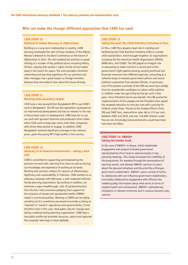## **Who can make the change: different approaches that CARE has used**

## **CASE STUDY 10**

# **National to Global Advocacy in Afghanistan**

Building on a long-term relationship in-country, CARE Germany facilitated the visit of three members of the Afghan Women's Network to the Bonn Conference on the future of Afghanistan in 2011. The visit enabled the activists to speak directly to a number of key political actors including Hillary Clinton, arguing that women's rights should not be traded away in the search for peace. The visit provided a fantastic networking and learning experience for our partners and their messages had a great impact on foreign ministers because they were able to hear about the issues directly.

#### **CASE STUDY 11 Working with secondary targets**

CIUK took a new young British Bangladeshi MP to see CARE's work in Bangladesh. The MP was the opposition spokesperson on international development and had an interest in the role of the private sector in development. CARE took her to see our work with garment factories and produced a short video, which CIUK used to help open doors with other companies with whom they wanted to engage. In addition CARE Bangladesh received significant coverage in the national press, given the young MP's high profile in the country.

#### **CASE STUDY 12**

#### **Advocacy in an insecure environment – taking a back seat**

CARE is committed to supporting and empowering the partners we work with, learning from them as well as sharing our knowledge and experience of working at all levels. Working with partners matters for reasons of effectiveness, legitimacy and sustainability. In Pakistan, CARE worked on an advocacy campaign with Rahnuma, a well-respected national family planning organisation. By working in coalition, we achieved a major breakthrough, with 16 parliamentarians from the four main provinces pledging their support for the inclusion of sexual and reproductive health (SRMH) needs in provincial policies. Working on SRMH can be highly sensitive (as it is sometimes perceived incorrectly as being an 'imposed' or 'western' agenda by some governments). It was therefore vital in this case, that public calls for change were led by a national family planning organisation. CARE kept a low public profile but provided resources, advice and captured the campaign learnings to share globally.

#### **CASE STUDY 13**

#### **Taking the lead: the Child Nutrition Initiative in Peru**

In Peru, CARE Peru played a lead role in creating and facilitating the Child Nutrition Initiative (CNI) to combat child malnutrition, which brought together 16 organisations including the Pan American Health Organization (PAHO), ADRA Peru, and USAID. The CNI played an integral role in advocating to make nutrition a central part of the government's fight against poverty, pooling technical and financial resources from different agencies, and acting as a cohesive body to evaluate government actions and secure political cooperation from elected officials. In particular, one of the greater successes of the CNI was securing a pledge from ten presidential candidates to reduce child nutrition in children under the age of five by five per cent in five years. Once President Garcia was elected, the CNI pushed for implementation of this pledge and the President even upped the targeted reduction to nine per cent with a priority for children under three. Thanks to the tireless efforts of the CNI and CARE Peru, malnutrition rates fell to 17.9 per cent between 2005 and 2010, and over 130,000 children under five are not chronically malnourished who would have been had rates not fallen.

#### **CASE STUDY 14: SWASH+ Taking the insider track**

In the case of SWASH+ in Kenya, initial stakeholder engagement and analysis included government representatives (from local to national levels) in key planning meetings. This slowly increased the credibility of the programme, for example through the presentation of learning results, and allowed SWASH+ partners to learn about the planned initiatives and the priorities of Kenyan government stakeholders. SWASH+ used a variety of tactics to collaborate with and influence government stakeholders, principally collaborative engagement with officials who needed quality information about what works in terms of student health and achievement. SWASH+ cultivated key champions in relevant ministries and in essence became a key 'advisor'.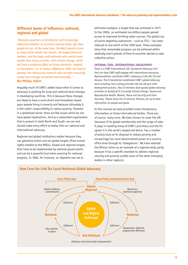# <span id="page-24-0"></span>**Different levels of influence: national, regional and global**

*"Domestic questions of distribution will increasingly determine whether, as countries become better off, their people do too. At the same time, the West remains home to many of the world's tax havens, the largest financial markets, and the large multinationals who control more wealth than many countries. And climate change, which will have a profound effect on living standards, respects no boundaries. So, to make a difference, NGOs will need to develop into influencing networks that are both nationally rooted and strongly connected internationally." [Ben Phillips, Oxfam](http://newint.org/blog/internationalists/2013/10/25/ngos-give-up-power-internationalism/#sthash.qQDXHMcj.dpuf)*

Arguably much of CARE's added value when it comes to advocacy is pushing for local and national-level changes in developing countries. This is because these changes are likely to have a more direct and immediate impact upon people living in poverty and because ultimately it is the state's responsibility to reduce poverty. However in a globalised world, there are few issues which do not have global implications. And as a networked organisation that is present in both North and South, we can and should make every effort to better link our national and international advocacy.

Regional and global institutions matter because they can galvanise action and set global targets (from human rights treaties to the MDGs). Global and regional targets then have to be implemented by national governments and can be a powerful tool when pressing for national progress. In 1966, for instance, an objective was set to

eliminate smallpox, a target that was achieved in 1977. In the 1990s, an estimated one billion people gained access to improved drinking water sources. The global use of ozone-depleting substances – such as CFCs – has been reduced to one-tenth of the 1990 level. These examples show that remarkable progress can be achieved within relatively short periods of time if countries decide to take collective action.

#### *INTERNAL TOOL: INTERNATIONAL ENGAGEMENT*

*There is a CARE International (CI) Secretariat Advocacy Unit that can help CARE staff engage with international processes. Representatives coordinate CARE's advocacy at the UN, EU and Geneva. The CI Secretariat coordinates CARE's global advocacy work including cross cutting priorities like the UN post 2015 development process. Also CI members lead agreed global advocacy priorities on behalf of CI (currently Climate Change, Sexual and Reproductive Health, Women, Peace and Security and Food Security). Please check the CI intranet, Minerva, for up-to-date information on people and goals.*

In this manual we have provided some introductory information on three international bodies. There are, of course, many more. We have chosen to cover the UN (because of its global membership and the range of roles it plays in tackling many of CARE's priorities) and the EU (given it is the world's largest aid donor, has a number of policy tools at its disposal to reduce poverty and increasingly has more decentralised power at a country office level through its 'Delegations'. We have selected the African Union as an example of a regional body partly because it has a specific mandate to address regional security and poverty (unlike some of the other emerging bodies in other regions).

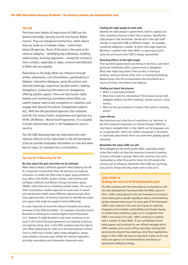#### *The UN*

The three main bodies of importance to CARE are the General Assembly, Security Council and Human Rights Council. They are intergovernmental fora, which means they are made up of member states – rather than being UN agencies. Much of the work is the same as for national lobbying – identifying key individuals, building relationships, knowing opponents – except the context is more complex, especially as styles, protocol and attitudes to NGOs will vary greatly.

Depending on the body, NGOs can influence through written statements, oral interventions, participating in debates, interactive dialogues, panel discussions and informal meetings; organising 'parallel events'; lobbing delegations, producing information for delegations, offering position papers. There are also human rights treaties and monitoring committees where NGOs can submit shadow reports and complaints on violations and engage with Special Procedures (independent experts etc). With the UN specialised agencies (the collective term for the various funds, programmes and agencies e.g. OCHA, UN Women, World Food Programme), it is valuable to build relationships both in the headquarters and incountry.

The UN CARE Advocacy lead can help build links with relevant officials at the right levels in the UN Secretariat. S/he can provide invaluable information on how and when best to input, for example into a consultation.

#### **Top tips for influencing the UN**

#### **Be clear about the goal and what can be achieved**

NGOs need to adopt a different approach when lobbying the UN. It is important to know that often UN decisions are made by consensus, so states will often seek to agree 'group positions' (e.g. Africa, Asia-Pacific, Eastern Europe, Latin America and Caribbean (GRULAC) and Western Europe and others group (WEOG) rather than act as individual member states. This can at times necessitate a creative approach to issues such as sexual and reproductive health where different regional groups often have opposing views. It becomes important to identify key states and regions that might be swayed to think differently.

It is also important to know the relevant mandates and voting processes of the different bodies – for example a Security Council Resolution is binding but a Human Rights Council Resolution isn't. However it might be easier to get some consensus on an issue in the Council because agreements are made by consensus not majority voting. And, in the UNSC members have the right to veto. When petitioning for referral to the International Criminal Court or referring to human rights treaty obligations, always check whether countries have ratified the relevant legislation and what reservations and interpretive statements exist.

#### **Finding the right people to work with**

Identify the right people in government, both in capitals and their respective missions in New York or Geneva. Identify the right people in the Secretariat. Decide who is the right staff member to represent CARE at different stages – for example, sometimes lobbying is needed, at other times legal expertise. Working in coalition with other NGOs is a good way to pool resources and ensure that CARE is always represented.

#### **Directing efforts at the right target**

Find out which governments are sitting on the fence, and which particular individuals within a government or delegation. What/who might sway them? Find out who is chairing a meeting, acting as friends of the chair, or hosting/facilitating. Relationships with UN correspondents also worthwhile as a source of insider information and lobbying.

#### **Finding out about the process**

- When is a text being drafted?
- What time is best for intervention? Think about contact with delegates (before and after meetings, special sessions, social events).
- What are the past positions of states? Past action or sticking points?

#### **Learn UN-ese**

Most decisions are in the form of resolutions (or 'decisions' in the UN Framework Convention on Climate Change (UNFCCC)). Learning to navigate them is vital. Watch out for language such as 'as appropriate', which can nullify a paragraph or document, or 'nationally determined' which can undermine globally agreed standards.

#### **Remember the value CARE can add**

Many delegations like working with NGOs, especially smaller states that might not have the resources to devote to getting to know a UN body or process. Work with countries that aren't represented on other fora and for whom the UN remains the primary tool of influence. Remember that CARE can say things and push for things that they might want to but can't.

#### **CASE STUDY 15**

#### **Shaping the next set of UN development goals**

The UN is working with the international community to craft the next development framework after the MDGs expire in 2015. CARE is advocating for the new framework to include a stand-alone goal on gender equality as well as mainstreaming gender empowerment issues into every goal of the framework. CARE is also calling for the next set of goals to explicitly integrate environmental sustainability and climate change. To achieve these ambitious goals and in recognition that CARE is not alone in its calls, CARE is working in coalition with a number of other NGOs. It has contributed to joint policy papers and produced its own refined messages which CARE members and country offices have been sharing their governments ahead of key meetings. Once final negotiations begin in 2014 CARE will have to map which states are for and which are against our recommendations and design an appropriate lobbying strategy.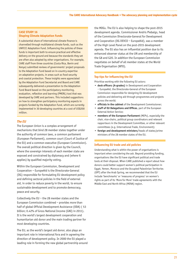#### **CASE STUDY 16 Shaping Climate Adaptation Funds**

A substantial share of international climate finance is channelled through multilateral climate funds, such as the UNFCCC Adaptation Fund. Influencing the policies of these funds is important both to ensure practical and effective delivery on the ground and because the standards they set are often also adopted by other organisations. For example, CARE staff from three countries (Costa Rica, Benin and Kenya) submitted reviews of governments' project proposals to the Adaptation Fund based on in-country expertise on adaptation projects, in areas such as food security and coastal protection. These insights were appreciated by the Adaptation Fund Secretariat and Board and CARE subsequently delivered a presentation to the Adaptation Fund Board based on the participatory monitoring, evaluation, reflection and learning (PMERL) tool that was developed by CARE and partners. This included suggestions on how to strengthen participatory monitoring aspects in projects funded by the Adaptation Fund, which are currently implemented in 30 developing countries at a cost of US\$200 million.

## *The EU*

The European Union is a complex arrangement of mechanisms that bind 28 member states together under the authority of common laws, a common parliament (European Parliament), common court (Court of Justice of the EU) and a common executive (European Commission). The overall political direction is given by the Council, where the sovereign interests of each member state are exposed and constrained by diplomacy and (where it applies) by qualified majority voting.

Within the European Commission, Development and Cooperation – EuropeAid is the Directorate-General (DG) responsible for formulating EU development policy and defining sectoral policies in the field of external aid, in order to reduce poverty in the world, to ensure sustainable development and to promote democracy, peace and security.

Collectively the EU – the 28 member states and the European Commission combined – provides more than half of global Official Development Assistance (ODA) (53 billion; 0.42% of Gross National Income (GNI) in 2011). It is the world's largest development cooperation and humanitarian aid donor and the main trading partner for most developing countries.

The EU, as the world's largest aid donor, also plays an important role in international fora and in agreeing the direction of development policy. In 2000 the EU played a leading role in forming the new global partnership around the MDGs. The EU is also helping to shape the post-2015 development agenda. Commissioner Andris Piebalgs, head of the Commission Directorate-General for Development and Cooperation (DG DEVCO – EuropeAid), was a member of the High Level Panel on the post-2015 development agenda. The EU also has an influential position due to its enhanced observer status at the UN and membership of the G8 and G20. In addition the European Commission negotiates on behalf of all member states at the World Trade Organisation (WTO).

#### **Top tips for influencing the EU**

Prioritise working with the following EU actors:

- **desk officers (A-grades)** in Development and Cooperation – EuropeAid, the Directorate-General of the European Commission responsible for designing EU development policies and delivering aid through programmes and projects across the world;
- **officials in the cabinet** of the Development Commissioner;
- **staff of EU Delegations and Offices**, part of the European External Action Service;
- **members of the European Parliament** (MEPs), especially the chair, vice-chairs, political group coordinators and relevant rapporteurs in the Development Committee, or other relevant committees (e.g. International Trade, Environment);
- **foreign and development ministers**/heads of states/prime ministers of the 28 member states of the EU.

#### **Influencing EU trade and aid policies**

Understanding what is within the power of organisations is important when considering the ask. Beyond providing funding, organisations like the EU have significant political and trade tools at their disposal. When CARE published a report about how donors could better support women's political participation in Egypt, Yemen, Morocco and the Occupied Palestinian Territories (OPT) after the Arab Spring, we recommended that the EU include 'benchmarks' or 'measures of progress' on women's rights as part of its 'More for More' trade agreements with the Middle East and North Africa (MENA) region.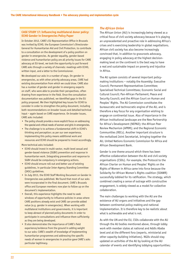#### **CASE STUDY 17: Influencing multilateral donor policy: ECHO Gender in Emergencies Policy Paper**

In October 2012, CARE's EU Representation Office in Brussels was invited by ECHO, the European Commission's Directorate-General for Humanitarian Aid and Civil Protection, to contribute to a consultation on the development of a policy position on gender in emergencies. As gender equality, gender-based violence and humanitarian policy are all priority issues for CARE advocacy at EU-level, we took the opportunity to put forward CARE asks through a variety of channels: meetings with ECHO, written input, and a letter to the Commissioner.

We developed our asks in a number of ways. On gender in emergencies, as with other priority advocacy areas, CARE had existing documentation from which we could draw. CARE also has a number of gender and gender in emergency experts on staff, who were able to provide their perspectives, often drawing from experience in the field. Once the consultation documentation was published, we identified gaps in the EU policy proposed. We then highlighted key issues for ECHO to consider in order to strengthen the policy document, including both recommendations on broader issues and detailed technical input – again based on CARE experience. On broader issues, CARE asks included:

- The policy should provide a more explicit focus on addressing the special and critical needs of women and girls in emergencies.
- The challenge is to achieve a fundamental shift in ECHO's thinking and perception; as per our own experience, implementing this policy means additional work and resources and ECHO should be prepared to invest accordingly.

More technical asks included:

- ECHO should invest in multi-sector, multi-level sexual and gender-based violence (SGBV) prevention and response in humanitarian work. Integrating prevention and response to SGBV should be compulsory in emergency actions.
- ECHO should ensure roll-out and better use of existing guidelines, in particular Inter-Agency Standing Committee (IASC) guidelines.
- In July 2013, the ECHO Staff Working Document on Gender in Emergencies was published. We found that most of our asks were incorporated in the final document. CARE's Brussels office and European members now plan to follow up on the document's implementation.
- Overall, this experience highlights the need to seek windows of opportunity to influence policies in areas where CARE positions already exist and CARE can provide added value (e.g. gender in emergencies). When working with multilateral institutions and governments, it is important to keep abreast of planned policy documents in order to participate in consultations and influence them sufficiently as they are being developed.
- It also demonstrates the importance of CARE's field experience/evidence from the ground in adding weight to our asks: CARE's wealth of knowledge of implementing humanitarian programmes and addressing the specific needs of women in emergencies in practice gave CARE's asks particular legitimacy.

#### *The African Union*

The African Union (AU) is increasingly being viewed as a critical focus of civil society advocacy because it is playing an unprecedented and proactive role in addressing Africa's crises and is exercising leadership in global negotiations. African civil society has also become increasingly convinced that, in addition to grassroots advocacy, engaging in policy advocacy at the highest decisionmaking level on the continent is the best way to have a real and sustainable impact on poverty and injustice in Africa.

The AU system consists of several important policymaking institutions – notably the Assembly; Executive Council; Permanent Representatives Committee; Specialised Technical Committees; Economic Social and Cultural Council; Pan-African Parliament; Peace and Security Council; and the African Court on Human and Peoples' Rights. The AU Commission constitutes the bureaucratic and technocratic engine of the AU, and is therefore a key focus for any organisation wishing to engage on continental issue. Also of importance in the African institutional landscape are the New Partnership for Africa's Development (NEPAD); the African Peer Review Mechanism (APRM); and the Regional Economic Communities (RECs). Another important structure is the revitalised Joint Secretariat, bringing together the AU, United Nations Economic Commission for Africa and African Development Bank.

Gender is one theme around which there has been effective collaboration between the AU and civil society organisations (CSOs). For example, the Protocol to the African Charter on Human and Peoples' Rights on the Rights of Women in Africa came into force because the Solidarity for African Women's Rights coalition (SOAWR) successfully lobbied for its ratification. The strategy, which combined creating a sense of outrage with constructive engagement, is widely viewed as a model for collective collaboration.

The main challenges to working with the AU are the existence of AU organs and initiatives and the gap between continental policy-making and national implementation. It is therefore key to be realistic about what is achievable and what is not.

As with the UN and the EU, CSOs collaborate with the AU through the AU bodies mentioned above, through lobby work with member states at national and Addis Ababa level and at the different fora (experts, ministerial and other capacity-building initiatives). NGOs should stay updated on activities of the AU by looking at the AU calendar of events and identifying lobbying opportunities;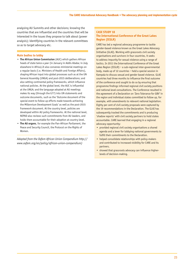analysing AU Summits and other decisions; knowing the countries that are influential and the countries that will be interested in the issues they propose to talk about (power analysis); identifying countries in the relevant committees so as to target advocacy etc.

#### **Main bodies to lobby**

- **The African Union Commission** (AUC) which gathers African heads of state twice a year (in January in Addis Ababa; in July elsewhere in Africa).It also convenes ministerial meetings on a regular basis (i.e. Ministers of Health and Foreign Affairs), shaping African input into global processes such as at the UN General Assembly (UNGA) and post-2015 deliberations; and also setting continental policy frameworks, which influence national policies. At the global level, the AUC is influential at the UNGA; and the language adopted at AU meetings makes its way (through the G77) into UN statements and outcome documents, such as the 'Outcome document of the special event to follow up efforts made towards achieving the Millennium Development Goals' as well as the post-2015 framework document. At the country level, policies are developed within AU policy frameworks. At the national level, NEPAD also reviews such commitments from AU leaders, and holds them accountable for their adoption at country level.
- **The AU organs**, for example the Pan-African Parliament, the Peace and Security Council, the Protocol on the Rights of Women.

*Adapted from the Oxfam African Union Compendium http:// www.oxfam.org/en/policy/african-union-compendium)*

#### **CASE STUDY 18 The International Conference of the Great Lakes Region (ICGLR)**

CARE has led a regional advocacy programme to tackle gender-based violence known as the Great Lakes Advocacy Initiative (GLAI). Working with grassroots civil society organisations and survivors in four countries, it seeks to address impunity for sexual violence using a range of tactics. In 2011 the International Conference of the Great Lakes Region (ICGLR) – a sub-regional inter-governmental body, made up of 12 countries – held a special session in Kampala to discuss sexual and gender based violence. GLAI countries had three months to influence the final outcome of the conference and sought to do so by ensuring that programme findings informed regional civil society positions and national level consultations. The Conference resulted in the agreement of a Declaration on 'Zero Tolerance for GBV' in the region and individual states committed to follow up, for example, with amendments to relevant national legislation. Eighty per cent of civil society proposals were captured by the 19 recommendations in the Declaration. The GLAI has subsequently tracked the commitments and is producing 'shadow reports' with civil society partners to hold states accountable. CARE learned that engaging in a regional advocacy opportunity:

- provided regional civil society organisations a shared agenda and a lever for lobbying national governments to fulfill their commitments to the Declaration.
- helped consolidate relationships with policy-makers and contributed to increased visibility for CARE and its partners.
- showed that grassroots advocacy can influence higherlevels of decision-making.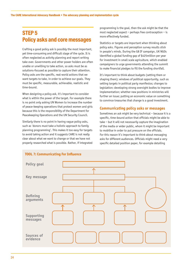# <span id="page-29-0"></span>**STEP 5 Policy asks and core messages**

Crafting a good policy ask is possibly the most important, retailing a good policy ask is possibly the most important,<br>
yet time-consuming and difficult stage of the cycle. It is dentified a global funding gap of s often neglected as activity planning and report writing take over. Governments and other power holders are often unable or unwilling to take action, so asks must be as solutions-focused as possible to capture their attention. Policy asks are the specific, real-world actions that we want targets to take, in order to achieve our goals. They must be specific, measurable, achievable, realistic and time-bound.

When designing a policy ask, it's important to consider what is within the power of the target. For example there is no point only asking UN Women to increase the number of peace-keeping operations that protect women and girls because this is the responsibility of the Department for Peacekeeping Operations and the UN Security Council.

Similarly there is no point in having vague policy asks, such as 'donors must take a holistic approach to family planning programming'. This makes it too easy for targets .<br>to avoid taking action and it suggests CARE is not really clear about what we want to change or that we have not properly researched what is possible. Rather, if integrated programming is the goal, then the ask might be that the most neglected aspect – perhaps free contraception – is more effectively funded.

Statistics or targets are important when thinking about policy asks. Figures and perception survey results stick in people's minds. During the G8 IF campaign, UK NGOs identified a global funding gap of \$425million per year for investment in small scale agriculture, which enabled campaigners to urge governments attending the summit to make financial pledges to fill the funding shortfall.

It's important to think about budgets (setting them or shaping them); windows of political opportunity, such as setting targets in political party manifestos; changes to legislation; developing strong oversight bodies to improve implementation; whether new positions in ministries will further an issue; putting an economic value on something to convince treasuries that change is a good investment.

# **Communicating policy asks or messages**

Communicating policy asks of incessages<br>Sometimes an ask might be very technical – because it is a specific, time-bound action that officials might be able to specific, the bound action that officials imgite be able to take – but it will not necessarily capture the imagination take but it with not necessarity capture the magmation of the media or wider public, whom it might be important to mobilise in order to put pressure on the officials. For this reason it's important to think about messaging asks for different audiences. Officials might need a very specific detailed position paper, for example detailing



# **TOOL 7: Communicating For Influence**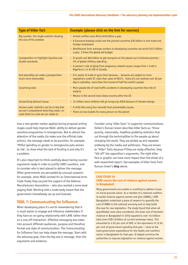| <b>Type of killer fact</b>                                                                                                     | <b>Example (please click on the link for sources)</b>                                                                                                                                                                                                                                           |
|--------------------------------------------------------------------------------------------------------------------------------|-------------------------------------------------------------------------------------------------------------------------------------------------------------------------------------------------------------------------------------------------------------------------------------------------|
| Big number: the single statistic showing<br>the size of the problem                                                            | • Armed conflict costs Africa \$18 billion a year<br>• A Eurozone breakup could cost the poorest countries \$30 billion in lost trade and<br>foreign investment<br>• Remittances from overseas workers to developing countries are worth \$372 billion<br>a year, 3 times the global aid budget |
| Juxtaposition to highlight injustice and<br>double standards                                                                   | • It would cost \$66 billion to get everyone on the planet out of extreme poverty $-$<br>4% of global military spending<br>• A woman's risk of dying from pregnancy-related causes ranges from 1 in 18 in<br>Nigeria to 1 in 8,700 in Canada.                                                   |
| And absurdity can make a juxtaposition<br>much more memorable                                                                  | • It is easier to trade in guns than bananas bananas are subject to more<br>regulations under EC rules than sales of AK47s Every EU cow receives over \$2 per<br>day in subsidies, more than the income of half the world's people                                                              |
| <b>Surprising stats</b>                                                                                                        | • More people die of road traffic accidents in developing countries than die of<br>malaria<br>• Mexico is the second most obese country after the US                                                                                                                                            |
| Humanising abstract issues                                                                                                     | • 12 million more children will go hungry by 2050 because of climate change                                                                                                                                                                                                                     |
| Human scale: statistics can be so big that<br>we can't comprehend what they mean; re-<br>scale them to a size we can relate to | • A child dies every four seconds from preventable causes.<br>• There are two bullets for every person on the planet                                                                                                                                                                            |

how a new gender marker applied during proposal writing stages could help improve NGOs' ability to deliver gender sensitive programmes in emergencies. But to attract the attention of the media (to make sure the officials take action), the message needs to be punchier, for example: 'Pitiful spending on gender in emergencies puts women at risk', to show what the lack of funding is and why it's a problem.

It's also important to think carefully about having counter arguments ready in order to justify CARE's position, and to consider who is best placed to deliver the message. Often governments are persuaded by unusual suspects: for example, when NGOs worked for an International Arms Trade Treaty they secured the support of the Defence Manufacturers Association – who also wanted a more level playing field. Working with a trade body meant that the government immediately sat up and listened.

## **TOOL 7: Communicating for Influence**

When developing plans it's worth remembering that it is much easier to engage and influence stakeholders if they have an on-going relationship with CARE rather than on a one-off interaction. Effective messaging also takes into account different audiences, purpose and therefore format and style of communication. The Communicating for Influence Tool can help shape the message. Start with the advocacy goal, then the key ask or message, then the arguments and evidence.

Consider using 'killer facts' in supporter communications. Oxfam's Duncan Green describes killer facts as: 'those punchy, memorable, headline-grabbing statistics that cut through the technicalities to fire people up about changing the world. They are picked up and repeated endlessly by the media and politicians. They are known as "killer" facts because if they are really effective, they "kill off" the opposition's arguments. The right killer fact or graphic can have more impact than the whole of a well-researched report. See examples of killer facts from Duncan Green's *[blog](http://oxfamblogs.org/fp2p/?s=killer+fact)* above.

# **CASE STUDY 19**

## **CARE counts the cost of violence against women in Bangladesh**

Many governments are unable or unwilling to address issues on moral grounds alone. As a member of a national coalition to tackle violence against women and girls (VAWG), CARE Bangladesh undertook a piece of research to quantify the cost of VAWG to the national economy and so help build the case for new legislation. The study found that when all quantifiable costs were considered, the total cost of domestic violence in Bangladesh in 2010 equated to over 143 billion taka (over US\$1.8 billion at current exchange rates). This amounted to 2.05 per cent of GDP, or the equivalent of 12.65 per cent of government spending that year – close to the total government expenditure for the health and nutrition sector in Bangladesh for that year. It helped convince the authorities to improve legislation on violence against women.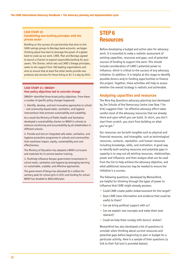#### **CASE STUDY 20**

#### **Establishing new banking principles with the private sector**

Building on the success of a partnership that aims to link 5000 savings groups to Barclays bank accounts, we began thinking about how best to leverage the power of a global bank to scale up our work. CARE, Plan and Barclays agreed to launch a Charter to expand responsible banking for poor savers. The Charter, which sets out CARE's linkage principles, seeks to win support from 100 leading organisations and aims to ensure that at least five other banks provide new products and services for those living on \$1–2 a day by 2015.

#### **CASE STUDY 21: SWASH+ How policy objectives led to concrete change**

SWASH+ identified three broad policy objectives. From these a number of specific policy changes happened:

1. Identify, develop, and test innovative approaches to school – and community-based water, sanitation, and hygiene interventions that promote sustainability and scalability.

As a result the Ministry of Public Health and Sanitation developed a sustainability charter on WASH in schools to enhance monitoring and accountability by all stakeholders in different schools.

2. Provide and test an integrated safe water, sanitation, and hygiene-promotion programme in schools and communities that maximises impact, equity, sustainability and costeffectiveness.

The Ministry of Education has adopted a WASH curriculum and materials for in-service teacher training.

3. Positively influence Kenyan government investments in school water, sanitation and hygiene by leveraging learning on sustainable, scalable, and effective approaches.

The government of Kenya has allocated \$3.4 million for sanitary pads for school girls in 2011 and funding for school WASH has doubled to \$840,000/year.

# **STEP 6 Resources**

Before developing a budget and action plan for advocacy work, it is essential to make a realistic assessment of existing capacities, resources and gaps, and of potential sources of funding to support the work. This should include consideration of CARE's potential power to influence, which is critical to the success of any advocacy initiative. In addition, it is helpful at this stage to identify possible donors and/or funding opportunities to finance the project. Together, these activities will help to assess whether the overall strategy is realistic and achievable.

#### **Analysing capacities and resources**

The Nine Key Questions advocacy planning tool developed by Jim Schultz of the Democracy Centre (see Step 7 for link) suggests that: "an effective advocacy effort takes careful stock of the advocacy resources that are already there and upon which you can build. In short, you don't start from scratch, you start from building on what you've got."

Our resources can be both tangible such as physical and financial resources, and intangible, such as technological resources, contacts, reputation, and human resources including knowledge, skills, and motivation. A good way to identify both existing resources and potential gaps in capacity is to map out all existing resources, relationships, power and influence; and then analyse what can be used from the list to help achieve the advocacy objective, and what additional resources may be needed to ensure the initiative is a success.

The following questions, developed by WomanKind, are helpful for thinking through the types of power to influence that CARE might already possess:

- Could CARE create public embarrassment for the target?
- Does CARE have information and evidence that could be useful to them?
- Can we bring political support with us?
- Can we explain new concepts and make them look relevant?
- Could we help them comply with donors' wishes?

WomanKind has also developed a list of questions to consider when thinking about current resources and potential gaps before beginning to plan or budget for a particular activity. Here is a sample of their questions (a link to their full tool is provided below):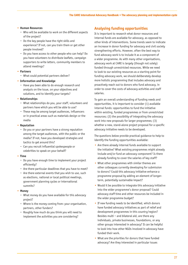#### • **Human Resources**

- Who will be available to work on the different aspects of the project?
- Do the key people have the right skills and experience? If not, can you train them or get other people involved?
- Do you have access to other people who can help? Do you have volunteers to distribute leaflets, campaign supporters to write letters, community members to attend meetings?

#### • **Partners**

– What could potential partners deliver?

#### • **Information and Knowledge**

– Have you been able to do enough research and analysis on the issue, on your objectives and solutions, and to identify your targets?

#### • **Relationships**

- What relationships do you, your staff, volunteers and partners have which you will be able to use?
- These may be among target audiences, influencers or in practical areas such as materials design or the media

#### • **Reputation**

- Do you or your partners have a strong reputation among the target audiences, with the public or the media? If not, have you developed strategies and tactics to get around this?
- Can you recruit influential spokespeople or celebrities to speak on your behalf?

#### • **Time**

- Do you have enough time to implement your project efficiently?
- Are there particular deadlines that you have to meet?
- Are there external events that you wish to use, such as elections, national or local political meetings, government planning cycles or international summits?
- **Money**
	- What money do you have available for this advocacy project?
	- Where is the money coming from: your organisation, partners, other funders?
	- Roughly how much do you think you will need to implement the activities you are considering?

## **Analysing funding opportunities**

It is important to research what donor resources and internal funds are available for advocacy, as opposed to other kinds of interventions. Some trends seem to indicate an increase in donor funding for advocacy and civil society strengthening efforts. However, often the best way to fund advocacy work is to include it as a component of a wider programme. As with many other organisations, advocacy work at CARE is largely (though not solely) funded through unrestricted resources. While we need to look to our existing resources as a starting point for funding advocacy work, we should deliberately develop more holistic programming that includes advocacy and proactively reach out to donors who fund advocacy, in order to cover the costs of advocacy activities and staff salaries.

To gain an overall understanding of funding needs and opportunities, it is important to consider (1) available internal funds: opportunities to fund the initiative within existing, funded programmes or from unrestricted resources; (2) the possibility of integrating the advocacy work into new proposals for larger programmes; (3) whether a new, stand-alone project proposal for a specific advocacy initiative needs to be developed.

The questions below provide practical guidance to help to identify the funding opportunities available:

- Are there already internal funds available to support the initiative? What existing programmes might already include and/or fund an advocacy component? Is there already funding to cover the salaries of key staff?
- What other programmes with similar themes are other colleagues currently developing for submission to donors? Could this advocacy initiative enhance a programme proposal by adding an element of longerterm, potentially sustainable impact?
- Would it be possible to integrate this advocacy initiative into the wider programme's donor proposal? Could advocacy staff time and other resources be included in the wider programme budget?
- If new funding needs to be identified, which donors have funded advocacy initiatives as part of relief and development programmes in this country/region? Besides multi – and bilateral aid, are there any individuals, private businesses, foundations, or any other groups interested in advocacy? It can be helpful to look into how other NGOs involved in advocacy have funded their work.
- What are the priorities for donors that have funded advocacy? Are they interested in particular issues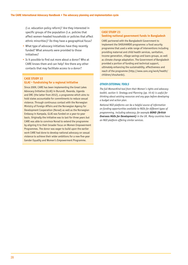<span id="page-33-0"></span>(i.e. education policy reform)? Are they interested in specific groups of the population (i.e. policies that affect women-headed households or policies that affect ethnic minorities)? Do they have a geographical focus?

- What type of advocacy initiatives have they recently funded? What amounts were provided to those initiatives?
- Is it possible to find out more about a donor? Who at CARE knows them and can help? Are there any other contacts that may facilitate access to a donor?

#### **CASE STUDY 22**

#### **GLAI – fundraising for a regional initiative**

Since 2009, CARE has been implementing the Great Lakes Advocacy Initiative (GLAI) in Burundi, Rwanda, Uganda and DRC (the latter from 2012), a programme which aims to hold states accountable for commitments to reduce sexual violence. Through continuous contact with the Norwegian Ministry of Foreign Affairs and the Norwegian Agency for Development Cooperation (Norad) as well as the Norwegian Embassy in Kampala, GLAI was funded on a year-to-year basis. Originally the initiative was to last for three years but CARE was able to convince Norad to extend the programme by aligning it to their broader focus on Women Empowerment Programmes. The donor was eager to build upon the earlier work CARE had done to develop national advocacy on sexual violence to achieve their wider ambitions for a new five-year Gender Equality and Women's Empowerment Programme.

#### **CASE STUDY 23**

#### **Seeking national government funds in Bangladesh**

CARE partnered with the Bangladeshi Government to implement the SHOUHARDO programme: a food security programme that used a wide range of interventions including providing maternal and child health services, sanitation, income generation, village savings and loans groups, as well as climate change adaptation. The Government of Bangladesh provided a portion of funding and technical support, ultimately enhancing the sustainability, effectiveness and reach of the programme (http://www.care.org/work/health/ children/shouhardo).

#### *OTHER EXTERNAL TOOLS*

*The full WomanKind tool from their Women's rights and advocacy toolkit, section 5: Strategy and Planning (pp. 55-6) is useful for thinking about existing resources and any gaps before developing a budget and action plan.*

*National NGO platforms can be a helpful source of information on funding opportunities available to NGOs for different types of programming, including advocacy; for example [BOND \(British](http://www.bond.org.uk/resources/funding)  [Overseas NGOs for Development\)](http://www.bond.org.uk/resources/funding) in the UK. Many countries have an NGO platform offering similar services.*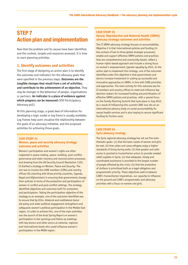# **STEP 7 Action plan and implementation**

Now that the problem and its causes have been identified, and the context, targets and resources assessed, it is time to start planning activities.

# **1. Identify outcomes and activities**

The first stage of designing an action plan is to identify the outcomes and indicators for the advocacy goals that were specified in the previous steps. **Outcomes are the tangible changes that result from a set of activities, and contribute to the achievement of an objective.** They may be changes in the behaviour of people, organisations or partners. **An indicator is a piece of evidence against which progress can be measured** (VSO Participatory Advocacy p42).

At this planning stage, a great deal of information for developing a logic model or log frame is usually available. Log frames help users visualise the relationship between the goals of an advocacy initiative, and the proposed activities for achieving those goals.

#### **CASE STUDY 24**

#### **Women, peace and security advocacy strategy: outcomes and activities**

Women's participation and women's rights are often neglected in peace-making, peace- building, post-conflict governance and wider recovery and reconstruction processes, and drawing from the UN Security Council Resolution 1325, CI drafted a strategy on Women, Peace and Security. The aim was to involve the CARE members (CIMs) and country offices COs (starting with three priority countries, Uganda, Nepal and Afghanistan) in ensuring that governments change their policies in terms of the protection and participation of women in conflict and post-conflict settings. The strategy identified objectives and outcomes both for protection and participation. Taking the participation objective of the strategy as an example, one of the outcomes identified was to ensure that by 2014, bilateral and multilateral donor aid policy and wider political engagement strengthens and safeguards women's political participation in the Middle East region. In order to achieve this, one of the main activities was the launch of the Arab Spring Report on women's participation in the uprisings and follow up meetings with key donors and other actors at national, regional and international levels who could influence women's participation in the MENA region.

#### **CASE STUDY 25**

#### **Sexual, Reproductive and Maternal Health (SRMH) advocacy strategy: outcomes and activities**

The CI SRMH advocacy strategy focuses on accountability; Objective 2 is that international policies and funding (in the context of two to three global strategic processes) enable and support effective SRMH policies and practices that are comprehensive and community-based, reflect a human rights-based approach and include a strong focus on women's empowerment /gender equality by 2015. In the action plan to implement the strategy, one of the outcomes identified under this objective is that governments and donors increase investment in scaling up successful and innovative approaches to SRMH, in line with CARE priorities and approaches. The main activity for this outcome was for CI members and country offices to meet and influence key decision-makers for increased funding and prioritisation of effective SRMH policies and practices, with a special focus on the Family Planning Summit that took place in July 2012. As a result of influencing this summit CARE now sits on an international advisory body on social accountability for sexual health services and is also hoping to secure significant funding for further work.

## **CASE STUDY 26 Syria advocacy strategy**

The Syria regional advocacy strategy has set out five main thematic goals: (1) that the basic needs of women and girls be met; (2) that urban and camp refugees enjoy a higher standards of living during exile; (3) that greater and safer access is granted to humanitarian actors to provide needed relief supplies in Syria; (4) that adequate, timely and coordinated assistance is provided to the largest number of people affected by the crisis; (5) that the protection of civilians is prioritised both as a legal obligation and programmatic priority. These objectives seek to balance CARE's humanitarian imperatives, our capacity to influence on the ground and CARE's programmatic and advocacy priorities with a focus on women and girls.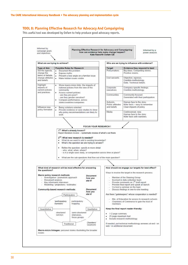# <span id="page-35-0"></span>**TOOL 8: Planning Effective Research For Advocacy And Campaigning**

This useful tool was developed by Oxfam to help produce good advocacy reports.



49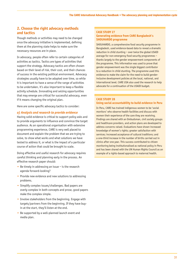# **2. Choose the right advocacy methods and tactics**

Though methods or activities may need to be changed once the advocacy initiative is implemented, defining them at the planning state helps to make sure the necessary resources are in place.

In advocacy, people often refer to certain categories of activities as tactics. Tactics are types of activities that support the strategy. Advocacy tactics are often chosen based on their level of risk, their cost, and their chances of success in the existing political environment. Advocacy strategies usually have to be adapted over time, so while it is important to have a sense of the range of activities to be undertaken, it's also important to keep a flexible activity schedule. Innovating and seizing opportunities that may emerge are critical for successful advocacy, even if it means changing the original plan.

Here are some specific advocacy tactics to consider:

#### *a) Analysis and research to provide evidence*

Having solid evidence is critical to support policy asks and to provide arguments to influence and convince the target audience. As an operational organisation with extensive programming experience, CARE is very well placed to document and explain the problem that we are trying to solve, to show what works and what solutions we have tested to address it, or what is the impact of a particular course of action that could be brought to scale.

Doing effective and useful research for advocacy requires careful thinking and planning early in the process. An effective research paper should:

- Be timely in addressing an issue is the research agenda forward-looking?
- Provide new evidence and new solutions to addressing problems.
- Simplify complex issues/challenges. Bad papers are overly complex in both concepts and prose, good papers make the complex simple.
- Involve stakeholders from the beginning. Engage with targets/partners from the beginning. If they have buyin at the start, they'll listen at the end.
- Be supported by a well-planned launch event and media plan.

#### **CASE STUDY 27**

#### **Generating evidence from CARE Bangladesh's SHOUHARDO programme**

SHOUHARDO, a comprehensive food security programme in Bangladesh, used evidence-based data to reveal a dramatic reduction in child stunting – over twice the global USAID average for non-emergency food security programmes – thanks largely to the gender empowerment components of the programme. This information was used to prove that gender empowerment was the single biggest contributor to a reduction in child stunting. The programme used this evidence to make the claim for the need to build genderinclusive development policies at the local, national, and international level. CARE USA also used the research to help advocate for a continuation of the USAID budget.

#### **CASE STUDY 28 Using social accountability to build evidence in Peru**

In Peru, CARE has trained indigenous women to be 'social monitors' who observe health facilities and discuss with women their experience of the care they are receiving. Findings are shared with an Ombudsman, civil society groups and healthcare providers, and action plans are developed to address concerns raised. Evaluations have shown increased knowledge of women's rights; greater satisfaction with services; increased acceptance of cultural traditions; and a one-third increase in the number of births carried out in clinics after one year. This success contributed to citizen monitoring being institutionalised as national policy in Peru and has been shared with the UN Human Rights Council as an example of a rights-based approach to maternal health.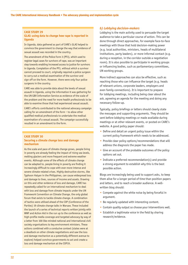#### **CASE STUDY 29**

#### **GLAI: using data to change how rape is reported in Uganda**

In Uganda, data gathered as part of CARE's GLAI helped to convince the government to change the way that evidence of sexual assault was recorded in the country.

The amendment of the Police Form 3 (PF3), which used to register legal cases for survivors of rape, was an important step towards enabling increased access to justice for survivors in Uganda. Completion of the PF3, without which a survivor cannot proceed to court, originally required a police surgeon to carry out a medical examination of the survivor and sign off on the form. However, there were only four police surgeons in the country.

CARE was able to provide data about the levels of sexual assault in Uganda, using the information it was gathering for the UN GBV Information Service as evidence of the scale of the problem and the need for more health professionals to be able to examine those that had experienced sexual assault.

CARE's efforts contributed to the national advocacy campaign calling for an amendment of the form – to allow other qualified medical professionals to undertake the medical examination of a sexual assault. The campaign successfully resulted in an amendment to the form.

#### **CASE STUDY 30 Securing a climate change loss and damage mechanism**

As the scale and pace of climate change grows, people living in poverty are already feeling the impact of rising sea levels, melting glaciers and more frequent and extreme weather events. Although some of the effects of climate change can be adapted to, people living in poverty are finding it increasingly difficult to cope with ever-more intense and severe climate-related crises. Highly destructive storms, like Typhoon Haiyan in the Philippines, can cause widespread loss and damage to lives, sources of income and assets. Drawing on this and other evidence of loss and damage, CARE has repeatedly called for an international mechanism to deal with loss and damage from climate impacts under the UN Framework Convention on Climate Change, the only global forum that exists to tackle climate change. A combination of tactics were utilised ahead of the COP (Conference of the Parties) 19 climate change talks in Warsaw. These included the launch of a series of technical reports written jointly with WWF and Action Aid in the run up to the conference as well as high-profile media coverage and targeted advocacy by way of a letter from 100 like-minded national and international civil society organisations to key environment ministers. These actions combined with a conducive context (states were at a deadlock on other climate negotiations and saw the loss and damage mechanism as a potentially different avenue to explore) helped convince governments to act and create a loss and damage mechanism at the COP19.

#### *b) Lobbying decision-makers*

Lobbying is the main activity used to persuade the target audience to take a particular course of action. This can be done through direct approaches, for example face-to-face meetings with those that hold decision-making power (e.g. local authorities, ministers, heads of multilateral institutions, party leaders), or more informal contact (e.g. during a reception, in the corridor outside a negotiation room). It is also possible to participate in working groups or influencing bodies, such as parliamentary committees, UN working groups.

More indirect approaches can also be effective, such as reaching those who can influence the target (e.g. heads of relevant unions, corporate leaders, employers and even family connections). It is important to prepare for lobbying meetings, including being clear about the ask, agreeing an agenda for the meeting and doing any necessary follow-up.

Typically, policy briefings or letters should clearly state the messages and supporting arguments. They should be sent before lobbying meetings or made available during meetings or at other relevant events, or posted on CARE's website. A good policy paper should:

- Define and detail an urgent policy issue within the current policy framework which needs to be addressed.
- Provide clear policy options/recommendations that will address the diagnosis the paper has made.
- Give an account of the probable outcomes of the policy options set out.
- Indicate a preferred recommendation(s) and provide a strong argument to establish why this is the best possible action.

Blogs are increasingly being used to support asks, to keep them alive for a longer period of time than position papers and letters, and to reach a broader audience. A wellwritten blog should:

- Compete against the white noise by being forceful in argument.
- Be regularly updated with interesting content.
- Contain quality output so choose your interventions well.
- Establish a legitimate voice in the field by sharing research/evidence.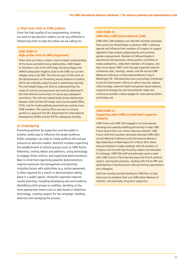#### *c) High-level visits to CARE projects*

Given the high quality of our programming, showing our work to key decision-makers can be very effective in influencing them to take the action we are calling for.

#### **CASE STUDY 31 High-profile visits to CARE programmes**

These visits can help to create a more in-depth understanding of the issues and build strong relationships. CIUK helped to facilitate a visit of the UK Foreign Secretary Hague and UNHCR ambassador Angelina Jolie to the CARE-run Lac Vert refugee camp in the DRC. The visit was part of their work on the G8 Declaration on Preventing Sexual Violence in Conflict, which was originally solely focused on addressing impunity. The visit helped Hague and Jolie to understand that the needs of survivors are paramount and must be addressed if the international community is to secure any subsequent convictions. The visit also helped build strong relationships between CIUK and the UK Foreign and Commonwealth Office (FCO), and the media publicity generated was used by many CARE members. The country office was also in a strong position to approach the UK's Department for International Development (DFID) and the FCO for subsequent funding.

#### *d) Campaigning*

Promoting activism by supporters and the public is another useful way to influence the target audience. Public campaigns can help to create political will and put pressure on decision-makers. Activism includes supporting the establishment of activist groups (such as CARE Action Networks), writing letters and petitions, using technology to engage citizen actions, and organising demonstrations. Bear in mind that organising peaceful demonstrations requires extensive risk management and planning including liaison with authorities (e.g. police agreement is often required for a march or demonstration taking place in a public space). Using this approach requires careful planning, including developing asks and evidence, identifying which groups to mobilise, deciding on the most appropriate means such as web-based or telephone technology, creating support for the campaign, building alliances and managing the process.

#### **CASE STUDY 32 CARE USA's CARE Action Network (CAN)**

CARE USA's CAN mobilises over 200,000 volunteer advocates from across the United States to advance CARE 's advocacy agenda and influence their members of Congress to support legislation that combats global poverty and promotes gender empowerment. Members of CAN participate in educational and awareness-raising events, contribute to media publications, lobby their members of Congress, and learn more about CARE's work through organised national conference calls, trainings, events, and the annual CARE National Conference on International Women's Day in Washington DC. CAN advocates have successfully contributed to the US Government's efforts to reform food aid, address child marriage, maternal health and gender-based violence, respond to emergencies and humanitarian needs and continue to provide a robust budget for international affairs and foreign aid.

#### **CASE STUDY 33 Supporting other CAREs to build their supporter networks**

CARE France and CARE USA engaged in an instrumental exchange and capacity-building partnership to help CARE France launch their own citizen advocacy network. CARE France staff and volunteer advocates attended CARE USA's annual National Conference and International Women's Day Celebration in Washington DC in March 2013 where they participated in lobby meetings with US members of Congress and met with key US policy-makers and advocates. In exchange, CARE USA staff and advocates spent a week with CARE France in Paris learning about the French political system, sharing best practices, meeting with French MPs and participating in key discussions with partnering organisations and colleagues.

CIUK has recently provided funding to CARE Peru to help them start to establish their own CARE Action Network of activists, and eventually, long-term supporters.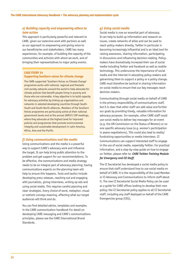## <span id="page-39-0"></span>*e) Building capacity and empowering others to take action*

This approach is particularly powerful and relevant to CARE, given our extensive work with partners as well as our approach to empowering and giving voice to our beneficiaries and stakeholders. CARE has many experiences, for example, of building the capacity of the communities and activists with whom we work, and of bringing their representatives to major policy events.

#### **CASE STUDY 34**

# **Supporting Southern voices for climate change**

The CARE-supported 'Southern Voices on Climate Change' programme works with national, regional and thematic civil society networks around the world to help advocate for climate policies that benefit people living in poverty and those who are vulnerable. A key objective is to build capacity for advocacy activities by linking up organisations and networks in selected developing countries through South-South and South-North alliances. Members of the Southern Voices programme are particularly active at their national government levels and at the annual UNFCCC COP meetings, where they advocate at the highest level for improved policies and programmes that promote environmental integrity and sustainable development in Latin America, Africa, Asia and the Pacific.

#### *f) Using communications and the media*

Using communications and the media is a powerful way to support CARE's advocacy work and influence the target. It can help bring public attention to the problem and get support for our recommendations. To be effective, the communications and media strategy needs to be an integral part of advocacy planning; having communications experts on the planning team will help to ensure this happens. Tools and tactics include developing press releases, reaching out and engaging with journalists, giving interviews, writing op-eds and using social media. This requires careful planning and clear strategies. Every choice of word, metaphor, visual or statistic conveys meaning, affecting what our target audiences will think and do.

You can find detailed advice, templates and examples in the CARE communication handbook For detail on developing CARE messaging and CARE's communications principles, please see the CARE International Brand Standards.

#### *g) Using social media*

Social media is now an essential part of advocacy. It can help to build up information and research on issues, create networks of allies and can be used to reach policy-makers directly. Twitter in particular is becoming increasingly influential and is an ideal tool for raising awareness, sharing information, participating in discussions and influencing decision-making. Policymakers have dramatically increased their use of social media including Twitter and Facebook as well as mobile technology. This underscores the importance of social media and the internet in educating policy-makers and galvanising them to support a policy or a policy change. CARE must therefore be tactical in sharing information on social media to ensure that our key messages reach decision-makers.

Communicating through social media on behalf of CARE is the primary responsibility of communications staff, but it is clear that other staff can add value and further our goals by providing timely, valuable information for advocacy purposes. For example, other CARE staff could use social media to deliver key messages for an event (e.g. the UN Commission on the Status of Women) or on one specific advocacy issue (e.g. women's participation in peace negotiations). This could also lead to media/ fundraising opportunities or media interviews. CI Communications can support interested staff to engage in the use of social media, especially Twitter. For practical information, and a step-by-step guide on how to engage on Twitter, please refer to: *[CARE Twitter Training Module](http://minerva.care.ca/Livelink1/livelink.exe?func=ll&objaction=overview&objid=2851038)  [for Emergency and CO Staff](http://minerva.care.ca/Livelink1/livelink.exe?func=ll&objaction=overview&objid=2851038)*.

The CI Secretariat has developed a social media policy to ensure that staff understand how to use social media on behalf of CARE; it is the responsibility of the Lead Member or CI Advocacy and Communications to inform staff about it. The new CI Secretariat Social Media Policy can be used as a guide for CARE offices looking to develop their own policy; the CI Secretariat policy applies to all CI Secretariat staff, including any staff deployed on behalf of the CARE Emergencies group (CEG).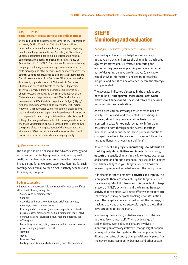#### **CASE STUDY 35 Social Media – campaigning to end child marriage**

In the run-up to the International Day of the Girl on October 11, 2012, CARE USA and the Girls Not Brides Coalition launched a social media and advocacy campaign targeting members of Congress and former Secretary of State Hillary Clinton, encouraging her to make political and financial commitments to address the issue of child marriage. On September 12, 2012 CARE USA launched its own month-long campaign, including a new web page to raise awareness of child marriage and offer advocates and supporters across the country various opportunities to demonstrate their support for this issue and to call on Secretary Clinton to take action. As a result, supporters sent 11,000 emails to Secretary Clinton, and over 1,000 tweets to the State Department. There were nearly 100 million social media impressions, almost 400,000 tweets using the International Day of the Girl or child marriage hashtags, and 270 Facebook users downloaded CARE's 'Child Marriage Social Badge' (http:// twibbon.com/support/end-child-marriage). CARE Action Network (CAN) advocates submitted opinion pieces to five local and national newspapers and hosted events in 16 states to complement the existing social media efforts. As a result, Hillary Clinton agreed to include child marriage indicators in the State Department's annual Human Rights Report and, in the spring of 2013, Congress adopted the Violence Against Women Act (VAWA) with language that ensures the US will prioritise efforts to combat child marriage globally.

## **3. Prepare a budget**

The budget should be based on the advocacy strategy and activities (such as lobbying, media work, working with coalitions, and/or mobilising constituencies). Always include a line for unexpected expenses. Planning for such contingencies will allow for a flexible activity schedule and for changes, if required.

#### **Budget categories**

A budget for an advocacy initiative should include some, if not all, of the following categories:

- Salaries and benefits for staff
- Supplies
- Activities and events (conferences, briefings, lunches, meetings, press conferences, etc.)
- Printing and distribution (brochures, reports, fact sheets, press releases, promotional items, briefing materials, etc.)
- Communications (telephone calls, modem, postage, etc.)
- Office space
- Consulting services (policy research, public relations services, private lobbying, legal services)
- Training
- Travel
- Dues and fees
- Contingencies (unexpected expenses) and other overheads

# **STEP 8 Monitoring and evaluation**

#### *"What get's measured, gets noticed." Hillary Clinton*

Monitoring and evaluation help keep an advocacy initiative on track, and assess the change it has achieved against its stated goals. Effective monitoring and evaluation require careful planning and are an integral part of designing an advocacy initiative. It is vital to establish what information is necessary for tracking progress, and how it can be obtained, before the strategy is implemented.

The advocacy indicators discussed in the previous step need to be **SMART: specific, measurable, achievable, realistic and time-bound**. These indicators can be used for monitoring and evaluation.

As discussed earlier, advocacy activities often need to be adjusted, revised, and re-directed. Such changes, however, should only be made on the basis of good monitoring data. For example, what new information has come to light through public events, meetings, newspapers and online media? Have political conditions changed since the initiative was first planned? Have the target audiences changed their opinions?

As with other CARE projects, **monitoring should focus on tracking outputs, activities and inputs**. For advocacy, **outputs** are usually changes in the knowledge, awareness and/or opinion of target audiences. They should be updated to include changes in your target audience's position, interest, opinion and knowledge about the policy issue.

It is also important to monitor **activities** and **inputs**. The more people there are who make up the target audience, the more important this becomes. It is important to keep a record of CARE's activities, and the learning from each activity that can make CARE more effective as an advocate. For example, it may be worth tracking new information about the target audience that will affect the message, or tracking activities that are successful against those that have struggled to hit the mark.

Monitoring the advocacy initiative may also contribute to the policy change itself. When a wide range of stakeholders, even policy-makers, are involved in monitoring an advocacy initiative, change might happen more quickly. Monitoring data offers an opportunity to discuss the status of policy changes with participants from the government, community, business and other sectors,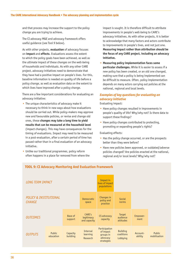and that process may increase the support to the policy change you are trying to achieve.

The CI advocacy M&E and advocacy framework offers useful guidance (see Tool 9 below).

As with other projects, **evaluation** of advocacy focuses on **impact** and **effects**. Evaluations assess the extent to which the policy goals have been achieved, as well as the ultimate impact of these changes on the well-being of households and individuals. As with any other CARE project, advocacy initiatives need to demonstrate that they have had a positive impact on people's lives. For this, baseline information is needed on quality of life before a policy change, as well as evaluation data on the extent to which lives have improved after a policy change.

There are a few important considerations for evaluating an advocacy initiative:

- The unique characteristics of advocacy make it necessary to think in new ways about how evaluations should be carried out. While policy-makers may approve new and favourable policies, or revise and change old ones, these **changes may take a long time to yield results that can be measured at the household level**  (impact changes). This may have consequences for the timing of evaluations. Impact may need to be measured in a post-evaluation, after a certain period of time has passed rather than in a final evaluation of an advocacy initiative.
- Unlike our traditional programmes, policy reform often happens in a place far removed from where the

impact is sought. It is therefore difficult to attribute improvements in people's well-being to CARE's advocacy initiatives. As with other projects, it is better to acknowledge that many factors and actors contribute to improvements in people's lives, and not just one. **Measuring impact rather than attribution should be the focus of any CARE project, including an advocacy initiative.**

• **Measuring policy implementation faces some particular challenges.** While it is easier to assess if a new policy has been created, or an old one changed, making sure that a policy is being implemented can be difficult to measure. Often, policy implementation depends on many actors carrying out policies at the national, regional and local levels.

# *Examples of key questions for evaluating an advocacy initiative*

Evaluating impact:

- Have policy changes resulted in improvements in people's quality of life? Why/why not? Is there data to support these findings?
- Have policy changes contributed to protecting, promoting or expanding people's rights?

Evaluating effects:

- Has the policy change occurred, or are the prospects better than they were before?
- Have new policies been approved, or outdated/adverse policies changed? Are policies enacted at the national, regional and/or local levels? Why/why not?



## **TOOL 9: CI Advocacy Monitoring And Evaluation Framework**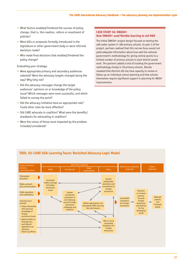- What factors enabled/hindered the success of policy change, that is, the creation, reform or enactment of policies?
- Were bills or proposals formally introduced in the legislature or other government body or were informal decisions made?
- Who made final decisions that enabled/hindered the policy change?

Evaluating your strategy:

- Were appropriate primary and secondary audiences selected? Were the advocacy targets changed along the way? Why/why not?
- Did the advocacy messages change the target audiences' opinions on or knowledge of the policy issue? Which messages were most successful, and which failed to convey the point?
- Did the advocacy initiative have an appropriate role? Could other roles be more effective?
- Did CARE advocate in coalition? What were the benefits/ drawbacks for advocating in coalition?
- Were the voices of those most impacted by the problem included/considered?

#### **CASE STUDY 36: SWASH+ How SWASH+ used flexible learning to aid M&E**

The initial SWASH+ project design focused on testing the safe water system in 180 primary schools. In year 3 of the project, partners realised that this narrow focus would not yield adequate information about how well the national government's methodology for giving central grants to a limited number of primary schools in each district would work. The partners added a trial of tracking the government methodology closely in 18 primary schools. Results revealed that districts did not have capacity to review or follow up on individual school planning and that schools themselves require significant support in planning for WASH improvements.



# **TOOL 10: CARE USA Learning Tours: Revisited Advocacy Logic Model**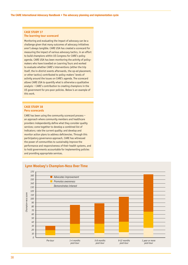#### **CASE STUDY 37 The learning tour scorecard**

Monitoring and evaluating the impact of advocacy can be a challenge given that many outcomes of advocacy initiatives aren't always tangible. CARE USA has created a scorecard for measuring the impact of various advocacy tactics, in an effort to build champions within US Congress for CARE's policy agenda. CARE USA has been monitoring the activity of policymakers who have travelled on Learning Tours and worked to evaluate whether CARE's interventions (either the trip itself, the in-district events afterwards, the op-ed placement, or other tactics) contributed to policy-makers' levels of activity around the issues on CARE's agenda. The scorecard allows CARE USA to quantify what is otherwise a qualitative analysis – CARE's contribution to creating champions in the US government for pro-poor policies. Below is an example of this work.

#### **CASE STUDY 38 Peru scorecards**

CARE has been using the community scorecard process – an approach where community members and healthcare providers independently define what they consider quality services; come together to develop a combined list of indicators; rate the current quality; and develop and monitor action plans to address deficiencies. Through this participatory governance approach, CARE has witnessed the power of communities to sustainably improve the performance and responsiveness of their health systems, and to hold governments accountable for implementing policies and providing appropriate services.



#### **Lynn Woolsey's Champion-Ness Over Time**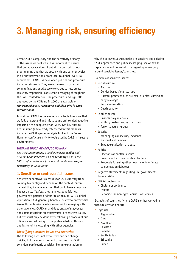# **3. Managing risk, ensuring efficiency**

Given CARE's complexity and the sensitivity of many of the issues we deal with, it is important to ensure that our advocacy doesn't put at risk our staff or our programming and that we speak with one coherent voice in all our interventions, from local to global levels. To achieve this, CARE has developed policies and procedures, including sign-offs. They are not meant to constrain communications or advocacy work, but to help create relevant, responsible, consistent messaging throughout the CARE confederation. The procedures and sign-offs approved by the CI Board in 2009 are available on *[Minerva: Advocacy Procedures and Sign-Offs in CARE](http://minerva.care.ca/Livelink1/livelink.exe?func=ll&objaction=overview&objid=1879025)  [International](http://minerva.care.ca/Livelink1/livelink.exe?func=ll&objaction=overview&objid=1879025)*.

In addition CARE has developed many tools to ensure that we fully understand and mitigate any unintended negative impacts on the people we work with. Two key ones to bear in mind (and already referenced in this manual) include the CARE gender Analysis Tool and the Do No Harm, or conflict sensitivity tools used by CARE in insecure environments.

#### *INTERNAL TOOLS: GENDER/DO NO HARM*

*See CARE International's Gender Analysis [toolkit](http://gendertoolkit.care.org/Pages/core.aspx) and also the [Good Practices on Gender Analysis](http://gendertoolkit.care.org/Pages/core.aspx). Visit the CARE Conflict wikispace for more information on [conflict](http://conflict.care2share.wikispaces.net/Conflict+Sensitivity)  [sensitivity](http://conflict.care2share.wikispaces.net/Conflict+Sensitivity) or Do No Harm.*

## **1. Sensitive or controversial issues**

Sensitive or controversial issues for CARE can vary from country to country and depend on the context, but in general they include anything that could have a negative impact on staff safety, programmes, beneficiaries, government, partner or donor relations, or CARE's global reputation. CARE generally handles sensitive/controversial issues through private advocacy or joint messaging with other agencies. CARE can and does engage in advocacy and communications on controversial or sensitive issues, but this must only be done after following a process of due diligence and adhering to the guidance below. This also applies to joint messaging with other agencies.

#### *Identifying sensitive issues and countries*

The following list is not exhaustive and can change quickly, but includes issues and countries that CARE considers particularly sensitive. For an explanation on why the below issues/countries are sensitive and existing CARE approaches and public messaging, see Annex 1: Explanation and potential risks regarding messaging around sensitive issues/countries.

Examples of sensitive issues:

- Social/cultural
	- Abortion
	- Gender-based violence, rape
	- Harmful practices such as Female Genital Cutting or early marriage
	- Sexual orientation
	- Death penalty
- Conflict or war
	- Civil-military relations
	- Military leaders, coups or actions
	- Terrorist acts or groups
- Security
	- Kidnappings or security incidents
	- National staff names
	- Sexual exploitation or abuse
- Political
	- Elections or political events
	- Government actions, political leaders
	- Proposals for suing other governments (climate compensation debates)
- Negative statements regarding UN, governments, donors, NGOs
- Official declarations
	- Cholera or epidemics
	- Famine
	- Genocide, human rights abuses, war crimes

Examples of countries (where CARE is or has worked in insecure environments):

- High risk
	- Afghanistan
	- Iraq
	- Myanmar
	- Pakistan
	- Somalia
	- South Sudan
	- Sri Lanka
	- Sudan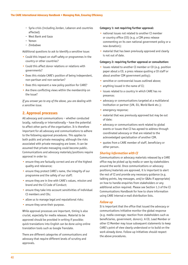- Syria crisis (including Jordan, Lebanon and countries affected)
- West Bank and Gaza
- Yemen
- Zimbabwe

Additional questions to ask to identify a sensitive issue:

- Could this impact on staff safety or programmes in the country or other countries?
- Could this affect donor relations or relations with governments?
- Does this violate CARE's position of being independent, non-partisan and non-sectarian?
- Does this represent a new policy position for CARE?
- Are there conflicting views within the membership on the issue?

*If you answer yes to any of the above, you are dealing with a sensitive issue.*

## **2. Approval processes**

All advocacy and communications – whether conducted locally, nationally or internationally – have the potential to affect other parts of the organisation. It is therefore important for all advocacy and communications to adhere to the following approval procedures. This applies to both public and private messaging; although the risks associated with private messaging are lower, it can be assumed that private messaging could become public. Communications and advocacy materials/positions require approval in order to:

- ensure they are factually correct and are of the highest quality and relevance;
- ensure they protect CARE's name, the integrity of our programme and the safety of our staff;
- ensure they are in line with CARE's values, mission and brand and the CI Code of Conduct;
- ensure they take into account sensitivities of individual CI members and COs;
- allow us to manage legal and reputational risks;
- ensure they serve their purpose.

While approval processes are important, timing is also crucial, especially for media releases. Material to be approved should be provided in writing if possible; quick translations into English can be done using online translation tools such as Google Translate.

There are different categories of communications and advocacy that require different levels of scrutiny and approvals.

#### **Category 1: not requiring further approval:**

- national issues not related to another CI member or country office (CO) (e.g. a CIM press release commenting on its own national government policy or a new donation);
- material that has been previously approved and clearly is not out of date.

#### **Category 2: requiring further approval or consultation:**

- issues related to another CI member or CO (e.g. position paper about a CO, a press release quoting a CO staff or about another CIM government policy);
- sensitive or controversial issues outlined above;
- anything issued in the name of CI;
- issues related to a country in which CARE has no presence;
- advocacy or communications targeted at a multilateral institution or partner (UN, EU, World Bank etc.);
- emergency response;
- material that was previously approved but may be out of date;
- advocacy or communications work related to global events or issues that CI has agreed to address through coordinated advocacy or that are related to the acknowledged specialisation of another CIM.
- quotes from a CARE member of staff, beneficiary or other person.

#### *Sharing information with CI*

Communications or advocacy materials released by a CARE office may be picked up by media or seen by stakeholders around the world. Once communications or advocacy positions/materials are approved, it is important to alert the rest of CI and provide any necessary guidance (e.g. talking points, key messages, and/or Q&As if appropriate) on how to handle enquiries from stakeholders or any additional action required. Please see Section 1.3 of the CI Communications Handbook for how to share information using CARE internal e-mail distribution lists.

#### *Follow up*

It is important that the office that issued the advocacy or communications initiative monitor the global response (e.g. media coverage; reaction from stakeholders such as beneficiaries, government, donors). A CO, Lead Member or other CI Member may issue subsequent statements to keep CARE's point of view clearly understood or to build on the work already done. Follow-up initiatives should respect the above procedures.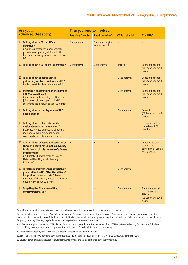| Are you                                                                                                                                                                                                                                                          | Then you need to involve <sup>1</sup> |                                     |                             |                                                                                         |
|------------------------------------------------------------------------------------------------------------------------------------------------------------------------------------------------------------------------------------------------------------------|---------------------------------------|-------------------------------------|-----------------------------|-----------------------------------------------------------------------------------------|
| (check all that apply)                                                                                                                                                                                                                                           | <b>Country Director</b>               | Lead member <sup>2</sup>            | CI Secretariat <sup>3</sup> | CIM NDs <sup>4</sup>                                                                    |
| $\Box$ Talking about a CO, but it's not<br>sensitive?<br>i.e. announcement of a new project,<br>press release quoting a CO staff, CO<br>factsheet, advoacy around an event in a<br>CO.                                                                           | Get approval                          | Get approval (for<br>advocacy work) |                             |                                                                                         |
| $\Box$ Talking about a CO, and it is sensitive?                                                                                                                                                                                                                  | Get approval                          | Get approval                        | Inform                      | Consult if needed<br>(CI Secretariat will<br>do it)                                     |
| $\Box$ Talking about an issue that is<br>potentially controversial for all of CI?<br>i.e. human rights law, genocide, WBG                                                                                                                                        |                                       |                                     | Get approval                | Consult if needed<br>(CI Secretariat will<br>do it)                                     |
| $\Box$ Signing on to something in the name of<br><b>CARE International?</b><br>i.e. signing on to a policy position or a<br>joint press release/report as CARE<br>International, not just as your CI member                                                      |                                       |                                     | Get approval                | Consult if needed<br>(CI Secretariat will<br>do it)                                     |
| $\Box$ Talking about a country where CARE<br>doesn't work?                                                                                                                                                                                                       |                                       |                                     | Get approval                | Consult<br>(CI Secretariat will<br>do it)                                               |
| $\Box$ Talking about a CI member or its<br>national operating government?<br>i.e. press release or meeting about a CI<br>member's government/policy or a<br>company from a CI member country                                                                     |                                       |                                     |                             | Get approval from<br>the relevant CI<br>member.                                         |
| $\Box$ Talking about an issue addressed by CI<br>through a coordinated global advocacy<br>initiative, or that is the area of a Centre<br>of Expertise?<br>i.e. Climate Change Centre of Expertise,<br>Maternal Health global advocacy<br>initiative <sup>5</sup> |                                       |                                     |                             | Consult the CIM<br>leading the<br>campaign or Centre<br>of Expertise.                   |
| $\Box$ Targeting a multilateral institution or<br>process like the UN, EU or World Bank?<br>i.e. position paper for UNFCC, letter to<br>members of the UNSC, meeting with your<br>government about EU policy <sup>6</sup>                                        |                                       |                                     | Get approval                |                                                                                         |
| $\Box$ Targeting the EU on a sensitive/<br>controversial issue?                                                                                                                                                                                                  |                                       | -                                   | Get approval                | Approval needed<br>from majority of<br>EU CIM<br>(CI Secretariat will<br>$\frac{d}{dt}$ |

1. In all communications and advocacy materials, all quotes must be approved by any person who is named.

2. Lead member point people are Media/Communications Manager for communications materials; Advocacy or Line Manager for advocacy positions and associated communications. It is their responsibility to coonsult with/obtain approval from the relevant Lead Meber senior staff, such as Head of Program, Securrity Director, Legal Adviser etc and regional offices where these exist.

3. CI Secretariat point people are CI Media and Communications Coordinator for communications; CI Head, Global Advocacy for advocacy. It is their responsibility to consult with/obtain approval from relevant staff in the CI Secretariat if necessary.

4. For additional details, please see the CI Advocacy Procedures and Sign-Offs 2009.

5. Issues addressed by CI as global advocacy initiatives and leads can be found at: [link to 2-year CI Global Adv. Strength. Strat.]

6. Usually, communications related to multilateral institutions should be part of an advocacy initiative.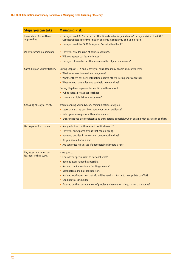| <b>Steps you can take</b>                        | <b>Managing Risk</b>                                                                                                                                                                                                                                                                                                                                                                                 |
|--------------------------------------------------|------------------------------------------------------------------------------------------------------------------------------------------------------------------------------------------------------------------------------------------------------------------------------------------------------------------------------------------------------------------------------------------------------|
| Learn about Do No Harm<br>Approaches.            | . Have you read Do No Harm, or other literature by Mary Anderson? Have you visited the CARE<br>Conflict wikispace for information on conflict sensitivity and Do no Harm?<br>• Have you read the CARE Safety and Security Handbook?                                                                                                                                                                  |
| Make informed judgements.                        | • Have you avoided risks of political violence?<br>• Will you appear partisan or biased?<br>• Have you chosen tactics that are respectful of your opponents?                                                                                                                                                                                                                                         |
| Carefully plan your initiative.                  | During Steps 2, 3, 4 and 5 have you consulted many people and considered:<br>• Whether others involved are dangerous?<br>• Whether there has been retaliation against others raising your concerns?<br>• Whether you have allies who can help manage risks?<br>During Step 8 on implementation did you think about:<br>• Public versus private approaches?<br>• Low versus high risk advocacy roles? |
| Choosing allies you trust.                       | When planning your advocacy communications did you:<br>• Learn as much as possible about your target audience?<br>· Tailor your message for different audiences?<br>. Ensure that you are consistent and transparent, especially when dealing with parties in conflict?                                                                                                                              |
| Be prepared for trouble.                         | • Are you in touch with relevant political events?<br>• Have you anticipated things that can go wrong?<br>• Have you decided in advance on unacceptable risks?<br>• Do you have a backup plan?<br>• Are you prepared to stop if unacceptable dangers arise?                                                                                                                                          |
| Pay attention to lessons<br>learned within CARE. | Have you<br>• Considered special risks to national staff?<br>• Been as even-handed as possible?<br>• Avoided the impression of inciting violence?<br>• Designated a media spokesperson?<br>• Avoided any impression that aid will be used as a tactic to manipulate conflict?<br>• Used neutral language?<br>• Focused on the consequences of problems when negotiating, rather than blame?          |